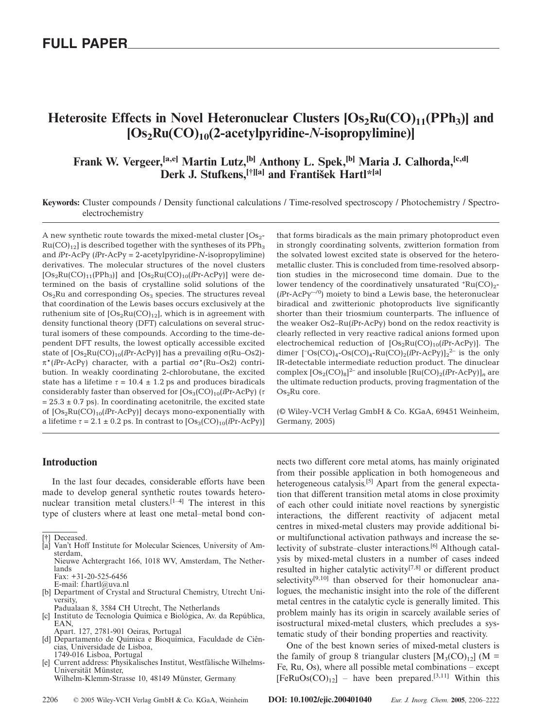# Heterosite Effects in Novel Heteronuclear Clusters  $[Os_2Ru(CO)_{11}(PPh_3)]$  and **[Os2Ru(CO)10(2-acetylpyridine-***N***-isopropylimine)]**

# **Frank W. Vergeer,[a,e] Martin Lutz,[b] Anthony L. Spek,[b] Maria J. Calhorda,[c,d]** Derk J. Stufkens,<sup>[†][a]</sup> and František Hartl\*<sup>[a]</sup>

**Keywords:** Cluster compounds / Density functional calculations / Time-resolved spectroscopy / Photochemistry / Spectroelectrochemistry

A new synthetic route towards the mixed-metal cluster  $[Os<sub>2</sub>-]$  $Ru(CO)_{12}$  is described together with the syntheses of its PPh<sub>3</sub> and *i*Pr-AcPy (*i*Pr-AcPy = 2-acetylpyridine-*N*-isopropylimine) derivatives. The molecular structures of the novel clusters  $[Os_2Ru(CO)_{11}(PPh_3)]$  and  $[Os_2Ru(CO)_{10}(iPr-AcPy)]$  were determined on the basis of crystalline solid solutions of the  $Os<sub>2</sub>Ru$  and corresponding  $Os<sub>3</sub>$  species. The structures reveal that coordination of the Lewis bases occurs exclusively at the ruthenium site of  $[Os<sub>2</sub>Ru(CO)<sub>12</sub>]$ , which is in agreement with density functional theory (DFT) calculations on several structural isomers of these compounds. According to the time-dependent DFT results, the lowest optically accessible excited state of  $[Os<sub>2</sub>Ru(CO)<sub>10</sub>(iPr-AcPy)]$  has a prevailing σ(Ru–Os2)π\*(*i*Pr-AcPy) character, with a partial σσ\*(Ru–Os2) contribution. In weakly coordinating 2-chlorobutane, the excited state has a lifetime  $\tau = 10.4 \pm 1.2$  ps and produces biradicals considerably faster than observed for  $[Os<sub>3</sub>(CO)<sub>10</sub>(iPr-AcPy)]$  (*τ*  $= 25.3 \pm 0.7$  ps). In coordinating acetonitrile, the excited state of  $[Os<sub>2</sub>Ru(CO)<sub>10</sub>(iPr-AcPy)]$  decays mono-exponentially with a lifetime  $\tau = 2.1 \pm 0.2$  ps. In contrast to  $[Os_3(CO)_{10}(iPr-AcPy)]$  that forms biradicals as the main primary photoproduct even in strongly coordinating solvents, zwitterion formation from the solvated lowest excited state is observed for the heterometallic cluster. This is concluded from time-resolved absorption studies in the microsecond time domain. Due to the lower tendency of the coordinatively unsaturated  $Ru(CO)_{2}$ -(*i*Pr-AcPy**·**–/0) moiety to bind a Lewis base, the heteronuclear biradical and zwitterionic photoproducts live significantly shorter than their triosmium counterparts. The influence of the weaker Os2–Ru(*i*Pr-AcPy) bond on the redox reactivity is clearly reflected in very reactive radical anions formed upon electrochemical reduction of  $[Os<sub>2</sub>Ru(CO)<sub>10</sub>(iPr-AcPy)]$ . The dimer  $[\text{Os(CO)}_4\text{-}\text{Os(CO)}_4\text{-}\text{Ru(CO)}_2(\text{iPr-AcPy})]_2^2$  is the only IR-detectable intermediate reduction product. The dinuclear complex [Os2(CO)8] 2– and insoluble [Ru(CO)2(*i*Pr-AcPy)]*<sup>n</sup>* are the ultimate reduction products, proving fragmentation of the Os<sub>2</sub>Ru core.

(© Wiley-VCH Verlag GmbH & Co. KGaA, 69451 Weinheim, Germany, 2005)

nects two different core metal atoms, has mainly originated

# **Introduction**

In the last four decades, considerable efforts have been made to develop general synthetic routes towards heteronuclear transition metal clusters.<sup> $[1-4]$ </sup> The interest in this type of clusters where at least one metal–metal bond con-

Nieuwe Achtergracht 166, 1018 WV, Amsterdam, The Netherlands Fax: +31-20-525-6456

- E-mail: f.hartl@uva.nl
- [b] Department of Crystal and Structural Chemistry, Utrecht University,
- Padualaan 8, 3584 CH Utrecht, The Netherlands [c] Instituto de Tecnologia Química e Biológica, Av. da República, EAN,
- Apart. 127, 2781-901 Oeiras, Portugal
- [d] Departamento de Química e Bioquímica, Faculdade de Ciências, Universidade de Lisboa, 1749-016 Lisboa, Portugal
- [e] Current address: Physikalisches Institut, Westfälische Wilhelms-Universität Münster,

Wilhelm-Klemm-Strasse 10, 48149 Münster, Germany

from their possible application in both homogeneous and heterogeneous catalysis.<sup>[5]</sup> Apart from the general expectation that different transition metal atoms in close proximity of each other could initiate novel reactions by synergistic interactions, the different reactivity of adjacent metal centres in mixed-metal clusters may provide additional bior multifunctional activation pathways and increase the selectivity of substrate–cluster interactions.[6] Although catalysis by mixed-metal clusters in a number of cases indeed resulted in higher catalytic activity[7,8] or different product selectivity<sup>[9,10]</sup> than observed for their homonuclear analogues, the mechanistic insight into the role of the different metal centres in the catalytic cycle is generally limited. This problem mainly has its origin in scarcely available series of isostructural mixed-metal clusters, which precludes a systematic study of their bonding properties and reactivity.

One of the best known series of mixed-metal clusters is the family of group 8 triangular clusters  $[M_3(CO)_{12}]$  (M = Fe, Ru, Os), where all possible metal combinations – except  $[FeRuOs(CO)<sub>12</sub>]$  – have been prepared.<sup>[3,11]</sup> Within this

Deceased. Van't Hoff Institute for Molecular Sciences, University of Amsterdam,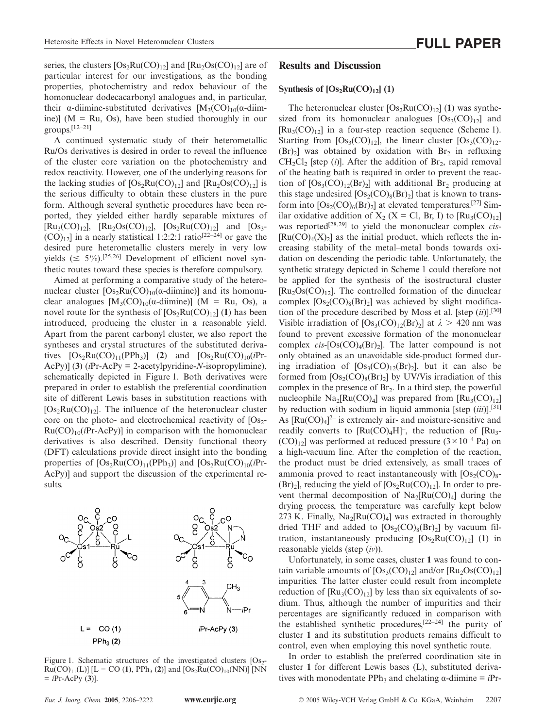series, the clusters  $[Os<sub>2</sub>Ru(CO)<sub>12</sub>]$  and  $[Ru<sub>2</sub>Os(CO)<sub>12</sub>]$  are of particular interest for our investigations, as the bonding properties, photochemistry and redox behaviour of the homonuclear dodecacarbonyl analogues and, in particular, their  $\alpha$ -diimine-substituted derivatives  $[M_3(CO)_{10}(\alpha$ -diimine)] ( $M = Ru$ , Os), have been studied thoroughly in our groups.[12–21]

A continued systematic study of their heterometallic Ru/Os derivatives is desired in order to reveal the influence of the cluster core variation on the photochemistry and redox reactivity. However, one of the underlying reasons for the lacking studies of  $[Os_2Ru(CO)_{12}]$  and  $[Ru_2Os(CO)_{12}]$  is the serious difficulty to obtain these clusters in the pure form. Although several synthetic procedures have been reported, they yielded either hardly separable mixtures of  $[Ru_3(CO)_{12}]$ ,  $[Ru_2Os(CO)_{12}]$ ,  $[Os_2Ru(CO)_{12}]$  and  $[Os_3 (CO)_{12}$ ] in a nearly statistical 1:2:2:1 ratio<sup>[22–24]</sup> or gave the desired pure heterometallic clusters merely in very low yields ( $\leq 5\%$ ).<sup>[25,26]</sup> Development of efficient novel synthetic routes toward these species is therefore compulsory.

Aimed at performing a comparative study of the heteronuclear cluster  $[Os<sub>2</sub>Ru(CO)<sub>10</sub>(\alpha$ -diimine)] and its homonuclear analogues  $[M_3(CO)_{10}(\alpha\text{-dimine})]$  (M = Ru, Os), a novel route for the synthesis of  $[Os_2Ru(CO)_{12}]$  (1) has been introduced, producing the cluster in a reasonable yield. Apart from the parent carbonyl cluster, we also report the syntheses and crystal structures of the substituted derivatives  $[Os_2Ru(CO)_{11}(PPh_3)]$  (2) and  $[Os_2Ru(CO)_{10}(iPr-$ AcPy)] (**3**) (*i*Pr-AcPy = 2-acetylpyridine-*N*-isopropylimine), schematically depicted in Figure 1. Both derivatives were prepared in order to establish the preferential coordination site of different Lewis bases in substitution reactions with  $[Os_2Ru(CO)_{12}]$ . The influence of the heteronuclear cluster core on the photo- and electrochemical reactivity of  $[Os<sub>2</sub>-]$  $Ru(CO)_{10}(iPr-AcPy)$ ] in comparison with the homonuclear derivatives is also described. Density functional theory (DFT) calculations provide direct insight into the bonding properties of  $[Os_2Ru(CO)_{11}(PPh_3)]$  and  $[Os_2Ru(CO)_{10}(iPr-$ AcPy)] and support the discussion of the experimental results.



Figure 1. Schematic structures of the investigated clusters  $[Os<sub>2</sub> Ru(CO)_{11}(L)$ ] [L = CO (1), PPh<sub>3</sub> (2)] and [Os<sub>2</sub>Ru(CO)<sub>10</sub>(NN)] [NN  $=$  *i*Pr-AcPy (3)].

## **Results and Discussion**

#### **Synthesis of**  $[Os_2Ru(CO)_{12}]$  **(1)**

The heteronuclear cluster  $[Os_2Ru(CO)_{12}]$  (1) was synthesized from its homonuclear analogues  $[Os<sub>3</sub>(CO)<sub>12</sub>]$  and  $[Ru_3(CO)_{12}]$  in a four-step reaction sequence (Scheme 1). Starting from  $[Os<sub>3</sub>(CO)<sub>12</sub>]$ , the linear cluster  $[Os<sub>3</sub>(CO)<sub>12</sub>]$  $(Br)$ <sub>2</sub>] was obtained by oxidation with Br<sub>2</sub> in refluxing  $CH_2Cl_2$  [step (*i*)]. After the addition of Br<sub>2</sub>, rapid removal of the heating bath is required in order to prevent the reaction of  $[Os<sub>3</sub>(CO)<sub>12</sub>(Br)<sub>2</sub>]$  with additional Br<sub>2</sub> producing at this stage undesired  $[Os_2(CO)_8(Br)_2]$  that is known to transform into  $[Os_2(CO)_6(Br)_2]$  at elevated temperatures.<sup>[27]</sup> Similar oxidative addition of  $X_2$  (X = Cl, Br, I) to  $\text{[Ru}_3(\text{CO})_{12}\text{]}$ was reported<sup>[28,29]</sup> to yield the mononuclear complex *cis*- $[Ru(CO)<sub>4</sub>(X)<sub>2</sub>]$  as the initial product, which reflects the increasing stability of the metal–metal bonds towards oxidation on descending the periodic table. Unfortunately, the synthetic strategy depicted in Scheme 1 could therefore not be applied for the synthesis of the isostructural cluster  $[Ru_2Os(CO)<sub>12</sub>]$ . The controlled formation of the dinuclear complex  $[Os<sub>2</sub>(CO)<sub>8</sub>(Br)<sub>2</sub>]$  was achieved by slight modification of the procedure described by Moss et al. [step (*ii*)].[30] Visible irradiation of  $[Os<sub>3</sub>(CO)<sub>12</sub>(Br)<sub>2</sub>]$  at  $\lambda > 420$  nm was found to prevent excessive formation of the mononuclear complex  $cis$ -[Os(CO)<sub>4</sub>(Br)<sub>2</sub>]. The latter compound is not only obtained as an unavoidable side-product formed during irradiation of  $[Os<sub>3</sub>(CO)<sub>12</sub>(Br)<sub>2</sub>]$ , but it can also be formed from  $[Os_2(CO)_8(Br)_2]$  by UV/Vis irradiation of this complex in the presence of  $Br<sub>2</sub>$ . In a third step, the powerful nucleophile  $Na<sub>2</sub>[Ru(CO)<sub>4</sub>]$  was prepared from  $[Ru<sub>3</sub>(CO)<sub>12</sub>]$ by reduction with sodium in liquid ammonia [step (*iii*)].[31] As  $[Ru(CO)<sub>4</sub>]$ <sup>2-</sup> is extremely air- and moisture-sensitive and readily converts to  $[Ru(CO)_4H]^{-}$ , the reduction of  $[Ru_3-H]$  $(CO)_{12}$  was performed at reduced pressure  $(3 \times 10^{-4} \text{ Pa})$  on a high-vacuum line. After the completion of the reaction, the product must be dried extensively, as small traces of ammonia proved to react instantaneously with  $[Os<sub>2</sub>(CO)<sub>8</sub> (Br)$ <sub>2</sub>], reducing the yield of  $[Os<sub>2</sub>Ru(CO)<sub>12</sub>]$ . In order to prevent thermal decomposition of  $Na<sub>2</sub>[Ru(CO)<sub>4</sub>]$  during the drying process, the temperature was carefully kept below 273 K. Finally,  $Na<sub>2</sub>[Ru(CO)<sub>4</sub>]$  was extracted in thoroughly dried THF and added to  $[Os_2(CO)_8(Br)_2]$  by vacuum filtration, instantaneously producing  $[Os_2Ru(CO)_{12}]$  (1) in reasonable yields (step (*iv*)).

Unfortunately, in some cases, cluster **1** was found to contain variable amounts of  $[Os<sub>3</sub>(CO)<sub>12</sub>]$  and/or  $[Ru<sub>2</sub>Os(CO)<sub>12</sub>]$ impurities. The latter cluster could result from incomplete reduction of  $\lbrack Ru_3(CO)_{12}\rbrack$  by less than six equivalents of sodium. Thus, although the number of impurities and their percentages are significantly reduced in comparison with the established synthetic procedures, $[22-24]$  the purity of cluster **1** and its substitution products remains difficult to control, even when employing this novel synthetic route.

In order to establish the preferred coordination site in cluster **1** for different Lewis bases (L), substituted derivatives with monodentate PPh<sub>3</sub> and chelating α-diimine  $=$  *i*Pr-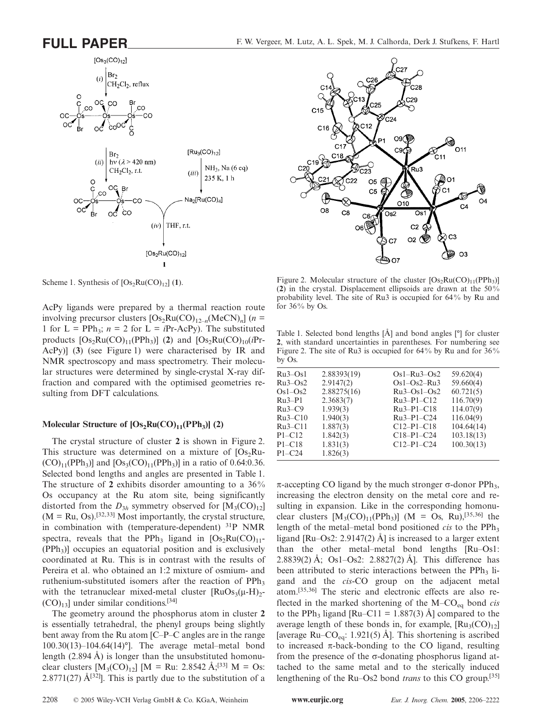

Scheme 1. Synthesis of  $[Os_2Ru(CO)_{12}]$  (1).

AcPy ligands were prepared by a thermal reaction route involving precursor clusters  $[Os_2Ru(CO)_{12-n}(MeCN)_n]$  (*n* = 1 for  $L = PPh_3$ ;  $n = 2$  for  $L = iPr-AcPy$ ). The substituted products  $[Os_2Ru(CO)_{11}(PPh_3)]$  (2) and  $[Os_2Ru(CO)_{10}(iPr-$ AcPy)] (**3**) (see Figure 1) were characterised by IR and NMR spectroscopy and mass spectrometry. Their molecular structures were determined by single-crystal X-ray diffraction and compared with the optimised geometries resulting from DFT calculations.

# Molecular Structure of  $[Os_2Ru(CO)_{11}(PPh_3)]$  (2)

The crystal structure of cluster **2** is shown in Figure 2. This structure was determined on a mixture of  $[Os_2Ru (CO)_{11}(PPh_3)$ ] and  $[Os_3(CO)_{11}(PPh_3)]$  in a ratio of 0.64:0.36. Selected bond lengths and angles are presented in Table 1. The structure of **2** exhibits disorder amounting to a 36% Os occupancy at the Ru atom site, being significantly distorted from the  $D_{3h}$  symmetry observed for  $[M_3(CO)_{12}]$  $(M = Ru, Os).$ <sup>[32,33]</sup> Most importantly, the crystal structure, in combination with (temperature-dependent)  $31P$  NMR spectra, reveals that the PPh<sub>3</sub> ligand in  $[Os_2Ru(CO)_{11}$ - $(PPh<sub>3</sub>)$ ] occupies an equatorial position and is exclusively coordinated at Ru. This is in contrast with the results of Pereira et al. who obtained an 1:2 mixture of osmium- and ruthenium-substituted isomers after the reaction of PPh<sub>3</sub> with the tetranuclear mixed-metal cluster  $\text{[RuOs}_3(\mu-\text{H})_2$ - $(CO)_{13}$ ] under similar conditions.<sup>[34]</sup>

The geometry around the phosphorus atom in cluster **2** is essentially tetrahedral, the phenyl groups being slightly bent away from the Ru atom [C–P–C angles are in the range 100.30(13)–104.64(14)°]. The average metal–metal bond length (2.894 Å) is longer than the unsubstituted homonuclear clusters  $[M_3(CO)_{12}]$   $[M = Ru: 2.8542 \text{ Å}^{331} \text{ M} = Os:$ 2.8771(27)  $\hat{A}^{[32]}$ . This is partly due to the substitution of a



Figure 2. Molecular structure of the cluster  $[Os<sub>2</sub>Ru(CO)<sub>11</sub>(PPh<sub>3</sub>)]$ (**2**) in the crystal. Displacement ellipsoids are drawn at the 50 % probability level. The site of Ru3 is occupied for 64 % by Ru and for  $36\%$  by Os.

Table 1. Selected bond lengths [Å] and bond angles [°] for cluster **2**, with standard uncertainties in parentheses. For numbering see Figure 2. The site of Ru3 is occupied for 64% by Ru and for  $36\%$ by Os.

| $Ru3-Os1$  | 2.88393(19) | $Os1-Ru3-Os2$ | 59.620(4)  |
|------------|-------------|---------------|------------|
| $Ru3-Os2$  | 2.9147(2)   | $Os1-Os2-Ru3$ | 59.660(4)  |
| $Os1-Os2$  | 2.88275(16) | $Ru3-Os1-Os2$ | 60.721(5)  |
| $Ru3-P1$   | 2.3683(7)   | $Ru3-P1-C12$  | 116.70(9)  |
| $Ru3-C9$   | 1.939(3)    | $Ru3-P1-C18$  | 114.07(9)  |
| $Ru3-C10$  | 1.940(3)    | $Ru3-P1-C24$  | 116.04(9)  |
| $Ru3-C11$  | 1.887(3)    | $C12-P1-C18$  | 104.64(14) |
| $P1 - C12$ | 1.842(3)    | $C18-P1-C24$  | 103.18(13) |
| $P1 - C18$ | 1.831(3)    | $C12-P1-C24$  | 100.30(13) |
| $P1 - C24$ | 1.826(3)    |               |            |
|            |             |               |            |

 $π$ -accepting CO ligand by the much stronger  $σ$ -donor PPh<sub>3</sub>, increasing the electron density on the metal core and resulting in expansion. Like in the corresponding homonuclear clusters  $[M_3(CO)_{11}(PPh_3)]$  (M = Os, Ru),<sup>[35,36]</sup> the length of the metal–metal bond positioned *cis* to the  $PPh<sub>3</sub>$ ligand [Ru–Os2: 2.9147(2) Å] is increased to a larger extent than the other metal–metal bond lengths [Ru–Os1: 2.8839(2) Å; Os1–Os2: 2.8827(2) Å]. This difference has been attributed to steric interactions between the  $PPh<sub>3</sub>$  ligand and the *cis*-CO group on the adjacent metal atom.[35,36] The steric and electronic effects are also reflected in the marked shortening of the M–CO<sub>eq</sub> bond *cis* to the PPh<sub>3</sub> ligand [Ru–C11 = 1.887(3) Å] compared to the average length of these bonds in, for example,  $\text{[Ru}_{3}(\text{CO})_{12}\text{]}$ [average Ru–CO<sub>eq</sub>: 1.921(5) Å]. This shortening is ascribed to increased  $\pi$ -back-bonding to the CO ligand, resulting from the presence of the  $\sigma$ -donating phosphorus ligand attached to the same metal and to the sterically induced lengthening of the Ru–Os2 bond *trans* to this CO group.[35]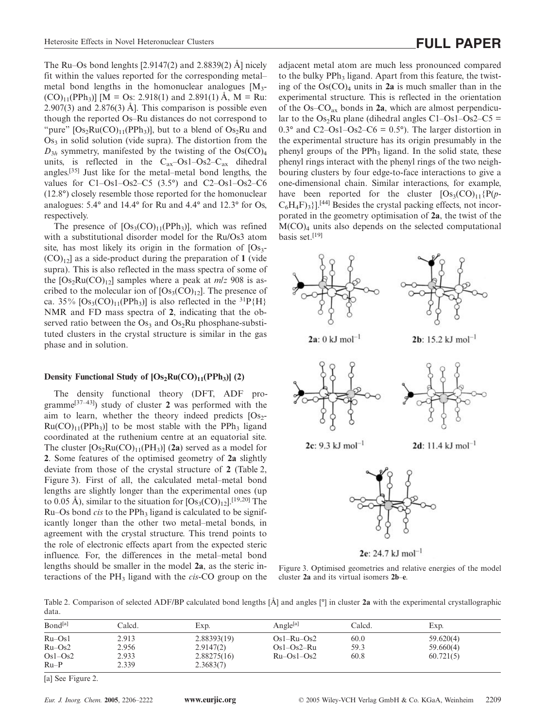The Ru–Os bond lenghts  $[2.9147(2)$  and  $2.8839(2)$  Å] nicely fit within the values reported for the corresponding metal– metal bond lengths in the homonuclear analogues  $[M_3 (CO)_{11}(PPh_3)$  [M = Os: 2.918(1) and 2.891(1) Å, M = Ru: 2.907(3) and 2.876(3) Å]. This comparison is possible even though the reported Os–Ru distances do not correspond to "pure"  $[Os<sub>2</sub>Ru(CO)<sub>11</sub>(PPh<sub>3</sub>)]$ , but to a blend of  $Os<sub>2</sub>Ru$  and  $Os<sub>3</sub>$  in solid solution (vide supra). The distortion from the  $D_{3h}$  symmetry, manifested by the twisting of the  $Os(CO)<sub>4</sub>$ units, is reflected in the  $C_{ax}$ -Os1-Os2- $C_{ax}$  dihedral angles.[35] Just like for the metal–metal bond lengths, the values for C1–Os1–Os2–C5 (3.5°) and C2–Os1–Os2–C6 (12.8°) closely resemble those reported for the homonuclear analogues: 5.4° and 14.4° for Ru and 4.4° and 12.3° for Os, respectively.

The presence of  $[Os<sub>3</sub>(CO)<sub>11</sub>(PPh<sub>3</sub>)]$ , which was refined with a substitutional disorder model for the Ru/Os3 atom site, has most likely its origin in the formation of  $[Os<sub>3</sub>-]$  $(CO)_{12}$  as a side-product during the preparation of 1 (vide supra). This is also reflected in the mass spectra of some of the  $[Os_2Ru(CO)_{12}]$  samples where a peak at  $m/z$  908 is ascribed to the molecular ion of  $[Os<sub>3</sub>(CO)<sub>12</sub>]$ . The presence of ca. 35%  $[Os<sub>3</sub>(CO)<sub>11</sub>(PPh<sub>3</sub>)]$  is also reflected in the <sup>31</sup>P{H}</sub> NMR and FD mass spectra of **2**, indicating that the observed ratio between the  $Os<sub>3</sub>$  and  $Os<sub>2</sub>Ru$  phosphane-substituted clusters in the crystal structure is similar in the gas phase and in solution.

### **Density Functional Study of**  $[Os_2Ru(CO)_{11}(PPh_3)]$  **(2)**

The density functional theory (DFT, ADF programme<sup>[37–43]</sup>) study of cluster 2 was performed with the aim to learn, whether the theory indeed predicts  $[Os<sub>2</sub> Ru(CO)_{11}(PPh_3)$ ] to be most stable with the PPh<sub>3</sub> ligand coordinated at the ruthenium centre at an equatorial site. The cluster  $[Os_2Ru(CO)_{11}(PH_3)]$  (2a) served as a model for **2**. Some features of the optimised geometry of **2a** slightly deviate from those of the crystal structure of **2** (Table 2, Figure 3). First of all, the calculated metal–metal bond lengths are slightly longer than the experimental ones (up to 0.05 Å), similar to the situation for  $[Os<sub>3</sub>(CO)<sub>12</sub>]<sup>[19,20]</sup>$  The Ru–Os bond *cis* to the PPh<sub>3</sub> ligand is calculated to be significantly longer than the other two metal–metal bonds, in agreement with the crystal structure. This trend points to the role of electronic effects apart from the expected steric influence. For, the differences in the metal–metal bond lengths should be smaller in the model **2a**, as the steric interactions of the PH3 ligand with the *cis*-CO group on the

adjacent metal atom are much less pronounced compared to the bulky PPh<sub>3</sub> ligand. Apart from this feature, the twisting of the  $Os(CO)<sub>4</sub>$  units in **2a** is much smaller than in the experimental structure. This is reflected in the orientation of the Os–COax bonds in **2a**, which are almost perpendicular to the Os<sub>2</sub>Ru plane (dihedral angles C1–Os1–Os2–C5 = 0.3° and C2–Os1–Os2–C6 =  $0.5^{\circ}$ ). The larger distortion in the experimental structure has its origin presumably in the phenyl groups of the  $PPh_3$  ligand. In the solid state, these phenyl rings interact with the phenyl rings of the two neighbouring clusters by four edge-to-face interactions to give a one-dimensional chain. Similar interactions, for example, have been reported for the cluster  $[Os<sub>3</sub>(CO)<sub>11</sub>{P(p C_6H_4F_{3}$ ].<sup>[44]</sup> Besides the crystal packing effects, not incorporated in the geometry optimisation of **2a**, the twist of the  $M(CO)<sub>4</sub>$  units also depends on the selected computational basis set.[19]



 $2e: 24.7 kJ \text{ mol}^{-1}$ 

Figure 3. Optimised geometries and relative energies of the model cluster **2a** and its virtual isomers **2b**–**e**.

Table 2. Comparison of selected ADF/BP calculated bond lengths [Å] and angles [°] in cluster **2a** with the experimental crystallographic data.

| Bond <sup>[a]</sup> | Calcd. | Exp.        | Angle <sup>[a]</sup> | Calcd. | Exp.      |
|---------------------|--------|-------------|----------------------|--------|-----------|
| $Ru$ – $Os1$        | 2.913  | 2.88393(19) | $Os1-Ru-Os2$         | 60.0   | 59.620(4) |
| $Ru$ – $Os2$        | 2.956  | 2.9147(2)   | $Os1-Os2-Ru$         | 59.3   | 59.660(4) |
| $Os1-Os2$           | 2.933  | 2.88275(16) | $Ru$ – $Os1$ – $Os2$ | 60.8   | 60.721(5) |
| $Ru-P$              | 2.339  | 2.3683(7)   |                      |        |           |
|                     |        |             |                      |        |           |

[a] See Figure 2.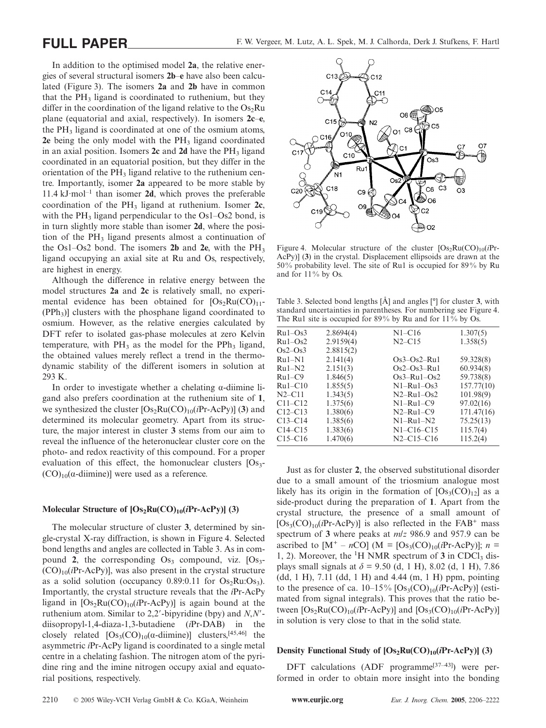In addition to the optimised model **2a**, the relative energies of several structural isomers **2b**–**e** have also been calculated (Figure 3). The isomers **2a** and **2b** have in common that the  $PH_3$  ligand is coordinated to ruthenium, but they differ in the coordination of the ligand relative to the  $Os<sub>2</sub>Ru$ plane (equatorial and axial, respectively). In isomers **2c**–**e**, the  $PH_3$  ligand is coordinated at one of the osmium atoms, **2e** being the only model with the PH<sub>3</sub> ligand coordinated in an axial position. Isomers 2c and 2d have the PH<sub>3</sub> ligand coordinated in an equatorial position, but they differ in the orientation of the  $PH_3$  ligand relative to the ruthenium centre. Importantly, isomer **2a** appeared to be more stable by  $11.4 \text{ kJ·mol}^{-1}$  than isomer **2d**, which proves the preferable coordination of the PH3 ligand at ruthenium. Isomer **2c**, with the  $PH_3$  ligand perpendicular to the Os1–Os2 bond, is in turn slightly more stable than isomer **2d**, where the position of the  $PH_3$  ligand presents almost a continuation of the Os1–Os2 bond. The isomers **2b** and **2e**, with the PH3 ligand occupying an axial site at Ru and Os, respectively, are highest in energy.

Although the difference in relative energy between the model structures **2a** and **2c** is relatively small, no experimental evidence has been obtained for  $[Os_2Ru(CO)_{11}$ - $(PPh_3)$ ] clusters with the phosphane ligand coordinated to osmium. However, as the relative energies calculated by DFT refer to isolated gas-phase molecules at zero Kelvin temperature, with  $PH_3$  as the model for the PPh<sub>3</sub> ligand, the obtained values merely reflect a trend in the thermodynamic stability of the different isomers in solution at 293 K.

In order to investigate whether a chelating α-diimine ligand also prefers coordination at the ruthenium site of **1**, we synthesized the cluster  $[Os_2Ru(CO)_{10}(iPr-AcPy)]$  (3) and determined its molecular geometry. Apart from its structure, the major interest in cluster **3** stems from our aim to reveal the influence of the heteronuclear cluster core on the photo- and redox reactivity of this compound. For a proper evaluation of this effect, the homonuclear clusters  $[Os<sub>3</sub>-]$  $(CO)_{10}(\alpha$ -diimine)] were used as a reference.

#### Molecular Structure of  $[Os_2Ru(CO)_{10}(iPr-AcPy)]$  (3)

The molecular structure of cluster **3**, determined by single-crystal X-ray diffraction, is shown in Figure 4. Selected bond lengths and angles are collected in Table 3. As in compound 2, the corresponding  $Os_3$  compound, viz.  $[Os_3-$ (CO)10(*i*Pr-AcPy)], was also present in the crystal structure as a solid solution (occupancy  $0.89:0.11$  for  $Os<sub>2</sub>Ru:Os<sub>3</sub>$ ). Importantly, the crystal structure reveals that the *i*Pr-AcPy ligand in  $[Os_2Ru(CO)_{10}(iPr-AcPy)]$  is again bound at the ruthenium atom. Similar to 2,2-bipyridine (bpy) and *N*,*N* diisopropyl-1,4-diaza-1,3-butadiene (*i*Pr-DAB) in the closely related  $[Os<sub>3</sub>(CO)<sub>10</sub>(\alpha$ -diimine)] clusters,<sup>[45,46]</sup> the asymmetric *i*Pr-AcPy ligand is coordinated to a single metal centre in a chelating fashion. The nitrogen atom of the pyridine ring and the imine nitrogen occupy axial and equatorial positions, respectively.



Figure 4. Molecular structure of the cluster  $[Os_2Ru(CO)_{10}(iPr-$ AcPy)] (**3**) in the crystal. Displacement ellipsoids are drawn at the 50 % probability level. The site of Ru1 is occupied for 89 % by Ru and for 11% by Os.

Table 3. Selected bond lengths [Å] and angles [°] for cluster **3**, with standard uncertainties in parentheses. For numbering see Figure 4. The Ru1 site is occupied for 89% by Ru and for 11% by Os.

| $Ru1-Os3$  | 2.8694(4) | $N1 - C16$       | 1.307(5)   |
|------------|-----------|------------------|------------|
| $Ru1-Os2$  | 2.9159(4) | $N2 - C15$       | 1.358(5)   |
| $Os2-Os3$  | 2.8815(2) |                  |            |
| $Ru1-N1$   | 2.141(4)  | $Os3-Os2–Ru1$    | 59.328(8)  |
| $Ru1-N2$   | 2.151(3)  | $Os2-Os3–Ru1$    | 60.934(8)  |
| $Ru1-C9$   | 1.846(5)  | $Os3-Ru1-Os2$    | 59.738(8)  |
| $Ru1-C10$  | 1.855(5)  | $N1-Ru1-Os3$     | 157.77(10) |
| $N2 - C11$ | 1.343(5)  | $N2-Ru1-Os2$     | 101.98(9)  |
| $C11-C12$  | 1.375(6)  | $N1-Ru1-C9$      | 97.02(16)  |
| $C12-C13$  | 1.380(6)  | $N2-Ru1-C9$      | 171.47(16) |
| $C13-C14$  | 1.385(6)  | $N1-Ru1-N2$      | 75.25(13)  |
| $C14-C15$  | 1.383(6)  | $N1 - C16 - C15$ | 115.7(4)   |
| $C15-C16$  | 1.470(6)  | $N2 - C15 - C16$ | 115.2(4)   |
|            |           |                  |            |

Just as for cluster **2**, the observed substitutional disorder due to a small amount of the triosmium analogue most likely has its origin in the formation of  $[Os<sub>3</sub>(CO)<sub>12</sub>]$  as a side-product during the preparation of **1**. Apart from the crystal structure, the presence of a small amount of  $[Os<sub>3</sub>(CO)<sub>10</sub>(iPr-AcP<sub>V</sub>)]$  is also reflected in the  $FAB^+$  mass spectrum of **3** where peaks at *m*/*z* 986.9 and 957.9 can be ascribed to  $[M^+ - nCO]$  ( $M = [Os_3(CO)_{10}(iPr-AcPy)]$ ; *n* = 1, 2). Moreover, the <sup>1</sup>H NMR spectrum of 3 in CDCl<sub>3</sub> displays small signals at *δ* = 9.50 (d, 1 H), 8.02 (d, 1 H), 7.86 (dd, 1 H), 7.11 (dd, 1 H) and 4.44 (m, 1 H) ppm, pointing to the presence of ca.  $10-15\%$   $[Os<sub>3</sub>(CO)<sub>10</sub>(iPr-AcPy)]$  (estimated from signal integrals). This proves that the ratio between  $[Os_2Ru(CO)_{10}(iPr-AcPy)]$  and  $[Os_3(CO)_{10}(iPr-AcPy)]$ in solution is very close to that in the solid state.

### **Density Functional Study of**  $[Os_2Ru(CO)_{10}(iPr-AcPy)]$  **(3)**

DFT calculations  $(ADF$  programme<sup>[37–43]</sup>) were performed in order to obtain more insight into the bonding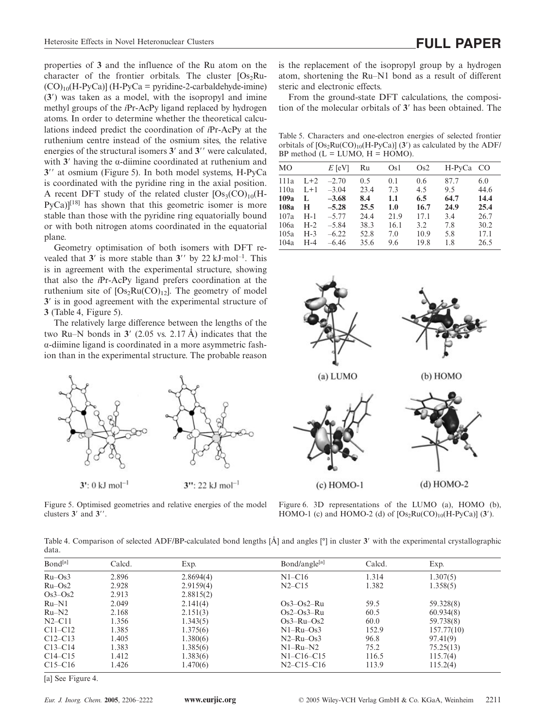properties of **3** and the influence of the Ru atom on the character of the frontier orbitals. The cluster  $[Os<sub>2</sub>Ru (CO)_{10}$ (H-PyCa)] (H-PyCa = pyridine-2-carbaldehyde-imine) (**3**) was taken as a model, with the isopropyl and imine methyl groups of the *i*Pr-AcPy ligand replaced by hydrogen atoms. In order to determine whether the theoretical calculations indeed predict the coordination of *i*Pr-AcPy at the ruthenium centre instead of the osmium sites, the relative energies of the structural isomers 3' and 3'' were calculated, with  $3'$  having the  $\alpha$ -diimine coordinated at ruthenium and **3**" at osmium (Figure 5). In both model systems, H-PyCa is coordinated with the pyridine ring in the axial position. A recent DFT study of the related cluster  $[Os<sub>3</sub>(CO)<sub>10</sub>(H PyCa$ <sup>[18]</sup> has shown that this geometric isomer is more stable than those with the pyridine ring equatorially bound or with both nitrogen atoms coordinated in the equatorial plane.

Geometry optimisation of both isomers with DFT revealed that  $3'$  is more stable than  $3''$  by 22 kJ·mol<sup>-1</sup>. This is in agreement with the experimental structure, showing that also the *i*Pr-AcPy ligand prefers coordination at the ruthenium site of  $[Os_2Ru(CO)_{12}]$ . The geometry of model **3** is in good agreement with the experimental structure of **3** (Table 4, Figure 5).

The relatively large difference between the lengths of the two Ru–N bonds in  $3'$  (2.05 vs. 2.17 Å) indicates that the α-diimine ligand is coordinated in a more asymmetric fashion than in the experimental structure. The probable reason



Figure 5. Optimised geometries and relative energies of the model clusters  $3'$  and  $3''$ .

is the replacement of the isopropyl group by a hydrogen atom, shortening the Ru–N1 bond as a result of different steric and electronic effects.

From the ground-state DFT calculations, the composition of the molecular orbitals of **3** has been obtained. The

Table 5. Characters and one-electron energies of selected frontier orbitals of  $[Os_2Ru(CO)_{10}(H-PyCa)]$  (3') as calculated by the ADF/  $BP$  method  $(L = LUMO, H = HOMO)$ .

| MO   |       | $E$ [eV] | Ru   | Os <sub>1</sub> | Os2  | H-PyCa CO |      |
|------|-------|----------|------|-----------------|------|-----------|------|
| 111a | $L+2$ | $-2.70$  | 0.5  | 0.1             | 0.6  | 87.7      | 6.0  |
| 110a | $L+1$ | $-3.04$  | 23.4 | 7.3             | 4.5  | 9.5       | 44.6 |
| 109a | L     | $-3.68$  | 8.4  | 1.1             | 6.5  | 64.7      | 14.4 |
| 108a | H     | $-5.28$  | 25.5 | 1.0             | 16.7 | 24.9      | 25.4 |
| 107a | $H-1$ | $-5.77$  | 24.4 | 21.9            | 17.1 | 3.4       | 26.7 |
| 106a | $H-2$ | $-5.84$  | 38.3 | 16.1            | 3.2  | 7.8       | 30.2 |
| 105a | $H-3$ | $-6.22$  | 52.8 | 7.0             | 10.9 | 5.8       | 17.1 |
| 104a | $H-4$ | $-6.46$  | 35.6 | 9.6             | 19.8 | 1.8       | 26.5 |



Figure 6. 3D representations of the LUMO (a), HOMO (b), HOMO-1 (c) and HOMO-2 (d) of  $[Os<sub>2</sub>Ru(CO)<sub>10</sub>(H-PyCa)]$  (3<sup>'</sup>).

Table 4. Comparison of selected ADF/BP-calculated bond lengths [Å] and angles [°] in cluster **3** with the experimental crystallographic data.

| Bond <sup>[a]</sup> | Calcd. | Exp.      | Bond/angle[a]    | Calcd. | Exp.       |
|---------------------|--------|-----------|------------------|--------|------------|
| $Ru$ – $Os3$        | 2.896  | 2.8694(4) | $N1 - C16$       | 1.314  | 1.307(5)   |
| $Ru$ – $Os2$        | 2.928  | 2.9159(4) | $N2 - C15$       | 1.382  | 1.358(5)   |
| $Os3-Os2$           | 2.913  | 2.8815(2) |                  |        |            |
| $Ru-N1$             | 2.049  | 2.141(4)  | $Os3-Os2–Ru$     | 59.5   | 59.328(8)  |
| $Ru-N2$             | 2.168  | 2.151(3)  | $Os2-Os3–Ru$     | 60.5   | 60.934(8)  |
| $N2 - C11$          | 1.356  | 1.343(5)  | $Os3-Ru-Os2$     | 60.0   | 59.738(8)  |
| $C11-C12$           | 1.385  | 1.375(6)  | $N1-Ru-Os3$      | 152.9  | 157.77(10) |
| $C12-C13$           | 1.405  | 1.380(6)  | $N2-Ru-Os3$      | 96.8   | 97.41(9)   |
| $C13-C14$           | 1.383  | 1.385(6)  | $N1-Ru-N2$       | 75.2   | 75.25(13)  |
| $C14-C15$           | 1.412  | 1.383(6)  | $N1-C16-C15$     | 116.5  | 115.7(4)   |
| $C15-C16$           | 1.426  | 1.470(6)  | $N2 - C15 - C16$ | 113.9  | 115.2(4)   |

[a] See Figure 4.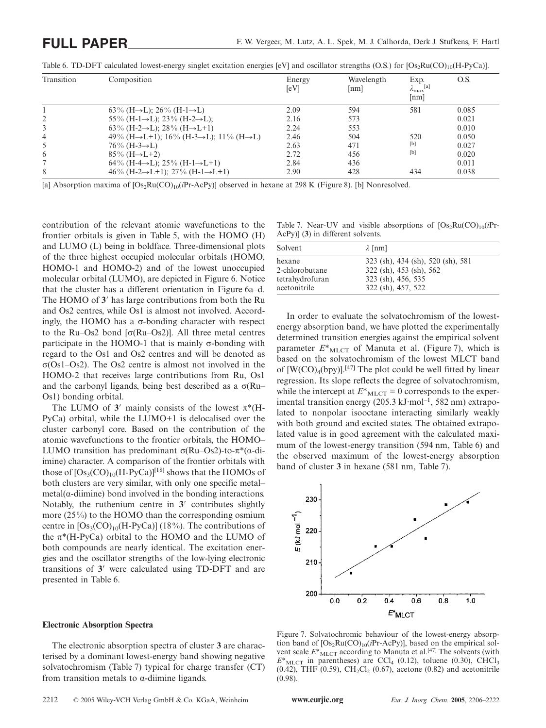| Transition     | Composition                                                                   | Energy<br>[eV] | Wavelength<br>[nm] | Exp.<br>$\left[ a\right] % \includegraphics[width=0.9\columnwidth]{figures/fig_0a}% \caption{A tiling of a function of the parameter $\Omega$ in $\Omega$.}% \label{fig:1}%$<br>$\lambda_{\rm max}$<br>[nm] | O.S.  |
|----------------|-------------------------------------------------------------------------------|----------------|--------------------|-------------------------------------------------------------------------------------------------------------------------------------------------------------------------------------------------------------|-------|
|                | $63\%$ (H $\rightarrow$ L); 26\% (H-1 $\rightarrow$ L)                        | 2.09           | 594                | 581                                                                                                                                                                                                         | 0.085 |
|                | 55\% (H-1->L); 23\% (H-2->L);                                                 | 2.16           | 573                |                                                                                                                                                                                                             | 0.021 |
| 3              | $63\%$ (H-2 $\rightarrow$ L); 28\% (H $\rightarrow$ L+1)                      | 2.24           | 553                |                                                                                                                                                                                                             | 0.010 |
| $\overline{4}$ | 49% (H $\rightarrow$ L+1); 16% (H-3 $\rightarrow$ L); 11% (H $\rightarrow$ L) | 2.46           | 504                | 520                                                                                                                                                                                                         | 0.050 |
| 5              | $76\%$ (H-3 $\rightarrow$ L)                                                  | 2.63           | 471                | [b]                                                                                                                                                                                                         | 0.027 |
| 6              | $85\%$ (H $\rightarrow$ L+2)                                                  | 2.72           | 456                | [b]                                                                                                                                                                                                         | 0.020 |
|                | $64\%$ (H-4 $\rightarrow$ L); 25% (H-1 $\rightarrow$ L+1)                     | 2.84           | 436                |                                                                                                                                                                                                             | 0.011 |
| 8              | $46\%$ (H-2 $\rightarrow$ L+1); 27% (H-1 $\rightarrow$ L+1)                   | 2.90           | 428                | 434                                                                                                                                                                                                         | 0.038 |

Table 6. TD-DFT calculated lowest-energy singlet excitation energies [eV] and oscillator strengths (O.S.) for  $[Os_2Ru(CO)_{10}(H-PyCa)]$ .

[a] Absorption maxima of  $[Os_2Ru(CO)_{10}(iPr-AcPy)]$  observed in hexane at 298 K (Figure 8). [b] Nonresolved.

contribution of the relevant atomic wavefunctions to the frontier orbitals is given in Table 5, with the HOMO (H) and LUMO (L) being in boldface. Three-dimensional plots of the three highest occupied molecular orbitals (HOMO, HOMO-1 and HOMO-2) and of the lowest unoccupied molecular orbital (LUMO), are depicted in Figure 6. Notice that the cluster has a different orientation in Figure 6a–d. The HOMO of 3' has large contributions from both the Ru and Os2 centres, while Os1 is almost not involved. Accordingly, the HOMO has a  $\sigma$ -bonding character with respect to the Ru–Os2 bond [σ(Ru–Os2)]. All three metal centres participate in the HOMO-1 that is mainly  $\sigma$ -bonding with regard to the Os1 and Os2 centres and will be denoted as σ(Os1–Os2). The Os2 centre is almost not involved in the HOMO-2 that receives large contributions from Ru, Os1 and the carbonyl ligands, being best described as a  $\sigma(Ru)$ Os1) bonding orbital.

The LUMO of  $3'$  mainly consists of the lowest  $\pi^*(H-$ PyCa) orbital, while the LUMO+1 is delocalised over the cluster carbonyl core. Based on the contribution of the atomic wavefunctions to the frontier orbitals, the HOMO– LUMO transition has predominant  $\sigma(Ru-Os2)$ -to-π<sup>\*</sup>(α-diimine) character. A comparison of the frontier orbitals with those of  $[Os<sub>3</sub>(CO)<sub>10</sub>(H-PyCa)]<sup>[18]</sup>$  shows that the HOMOs of both clusters are very similar, with only one specific metal–  $metal(\alpha$ -diimine) bond involved in the bonding interactions. Notably, the ruthenium centre in **3** contributes slightly more (25%) to the HOMO than the corresponding osmium centre in  $[Os<sub>3</sub>(CO)<sub>10</sub>(H-PyCa)]$  (18%). The contributions of the  $\pi^*(H-PyCa)$  orbital to the HOMO and the LUMO of both compounds are nearly identical. The excitation energies and the oscillator strengths of the low-lying electronic transitions of **3** were calculated using TD-DFT and are presented in Table 6.

#### **Electronic Absorption Spectra**

The electronic absorption spectra of cluster **3** are characterised by a dominant lowest-energy band showing negative solvatochromism (Table 7) typical for charge transfer (CT) from transition metals to  $\alpha$ -diimine ligands.

Table 7. Near-UV and visible absorptions of  $[Os_2Ru(CO)_{10}(iPr-$ AcPy)] (**3**) in different solvents.

| Solvent         | $\lambda$ [nm]                    |
|-----------------|-----------------------------------|
| hexane          | 323 (sh), 434 (sh), 520 (sh), 581 |
| 2-chlorobutane  | 322 (sh), 453 (sh), 562           |
| tetrahydrofuran | 323 (sh), 456, 535                |
| acetonitrile    | 322 (sh), 457, 522                |

In order to evaluate the solvatochromism of the lowestenergy absorption band, we have plotted the experimentally determined transition energies against the empirical solvent parameter  $E^*_{\text{MLCT}}$  of Manuta et al. (Figure 7), which is based on the solvatochromism of the lowest MLCT band of  $[W(CO)<sub>4</sub>(bpy)]$ .<sup>[47]</sup> The plot could be well fitted by linear regression. Its slope reflects the degree of solvatochromism, while the intercept at  $E^*_{\text{MLCT}} = 0$  corresponds to the experimental transition energy  $(205.3 \text{ kJ·mol}^{-1}, 582 \text{ nm})$  extrapolated to nonpolar isooctane interacting similarly weakly with both ground and excited states. The obtained extrapolated value is in good agreement with the calculated maximum of the lowest-energy transition (594 nm, Table 6) and the observed maximum of the lowest-energy absorption band of cluster **3** in hexane (581 nm, Table 7).



Figure 7. Solvatochromic behaviour of the lowest-energy absorption band of  $[Os_2Ru(CO)_{10}(iPr-AcPv)]$ , based on the empirical solvent scale  $E^*_{\text{MLCT}}$  according to Manuta et al.<sup>[47]</sup> The solvents (with  $E^*$ <sub>MLCT</sub> in parentheses) are CCl<sub>4</sub> (0.12), toluene (0.30), CHCl<sub>3</sub>  $(0.42)$ , THF  $(0.59)$ , CH<sub>2</sub>Cl<sub>2</sub>  $(0.67)$ , acetone  $(0.82)$  and acetonitrile (0.98).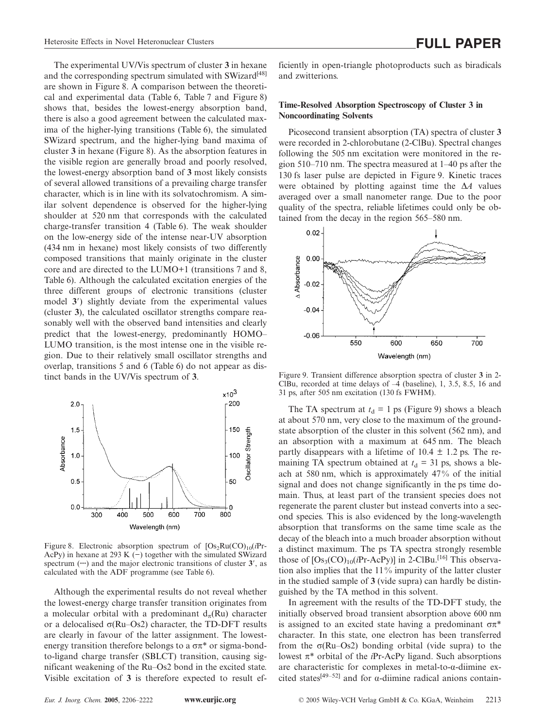The experimental UV/Vis spectrum of cluster **3** in hexane and the corresponding spectrum simulated with SWizard<sup>[48]</sup> are shown in Figure 8. A comparison between the theoretical and experimental data (Table 6, Table 7 and Figure 8) shows that, besides the lowest-energy absorption band, there is also a good agreement between the calculated maxima of the higher-lying transitions (Table 6), the simulated SWizard spectrum, and the higher-lying band maxima of cluster **3** in hexane (Figure 8). As the absorption features in the visible region are generally broad and poorly resolved, the lowest-energy absorption band of **3** most likely consists of several allowed transitions of a prevailing charge transfer character, which is in line with its solvatochromism. A similar solvent dependence is observed for the higher-lying shoulder at 520 nm that corresponds with the calculated charge-transfer transition 4 (Table 6). The weak shoulder on the low-energy side of the intense near-UV absorption (434 nm in hexane) most likely consists of two differently composed transitions that mainly originate in the cluster core and are directed to the LUMO+1 (transitions 7 and 8, Table 6). Although the calculated excitation energies of the three different groups of electronic transitions (cluster model **3**) slightly deviate from the experimental values (cluster **3**), the calculated oscillator strengths compare reasonably well with the observed band intensities and clearly predict that the lowest-energy, predominantly HOMO– LUMO transition, is the most intense one in the visible region. Due to their relatively small oscillator strengths and overlap, transitions 5 and 6 (Table 6) do not appear as distinct bands in the UV/Vis spectrum of **3**.



Figure 8. Electronic absorption spectrum of  $[Os_2Ru(CO)_{10}(iPr-$ AcPy) in hexane at 293 K (−) together with the simulated SWizard spectrum (**···**) and the major electronic transitions of cluster **3**, as calculated with the ADF programme (see Table 6).

Although the experimental results do not reveal whether the lowest-energy charge transfer transition originates from a molecular orbital with a predominant  $d<sub>\tau</sub>(Ru)$  character or a delocalised σ(Ru–Os2) character, the TD-DFT results are clearly in favour of the latter assignment. The lowestenergy transition therefore belongs to a  $\sigma \pi^*$  or sigma-bondto-ligand charge transfer (SBLCT) transition, causing significant weakening of the Ru–Os2 bond in the excited state. Visible excitation of **3** is therefore expected to result efficiently in open-triangle photoproducts such as biradicals and zwitterions.

### **Time-Resolved Absorption Spectroscopy of Cluster 3 in Noncoordinating Solvents**

Picosecond transient absorption (TA) spectra of cluster **3** were recorded in 2-chlorobutane (2-ClBu). Spectral changes following the 505 nm excitation were monitored in the region 510–710 nm. The spectra measured at 1–40 ps after the 130 fs laser pulse are depicted in Figure 9. Kinetic traces were obtained by plotting against time the Δ*A* values averaged over a small nanometer range. Due to the poor quality of the spectra, reliable lifetimes could only be obtained from the decay in the region 565–580 nm.



Figure 9. Transient difference absorption spectra of cluster **3** in 2- ClBu, recorded at time delays of –4 (baseline), 1, 3.5, 8.5, 16 and 31 ps, after 505 nm excitation (130 fs FWHM).

The TA spectrum at  $t_d = 1$  ps (Figure 9) shows a bleach at about 570 nm, very close to the maximum of the groundstate absorption of the cluster in this solvent (562 nm), and an absorption with a maximum at 645 nm. The bleach partly disappears with a lifetime of  $10.4 \pm 1.2$  ps. The remaining TA spectrum obtained at  $t_d = 31$  ps, shows a bleach at 580 nm, which is approximately 47% of the initial signal and does not change significantly in the ps time domain. Thus, at least part of the transient species does not regenerate the parent cluster but instead converts into a second species. This is also evidenced by the long-wavelength absorption that transforms on the same time scale as the decay of the bleach into a much broader absorption without a distinct maximum. The ps TA spectra strongly resemble those of  $[Os<sub>3</sub>(CO)<sub>10</sub>(iPr-AcPy)]$  in 2-ClBu.<sup>[16]</sup> This observation also implies that the 11% impurity of the latter cluster in the studied sample of **3** (vide supra) can hardly be distinguished by the TA method in this solvent.

In agreement with the results of the TD-DFT study, the initially observed broad transient absorption above 600 nm is assigned to an excited state having a predominant  $σπ*$ character. In this state, one electron has been transferred from the σ(Ru–Os2) bonding orbital (vide supra) to the lowest π\* orbital of the *i*Pr-AcPy ligand. Such absorptions are characteristic for complexes in metal-to-α-diimine excited states[49–52] and for α-diimine radical anions contain-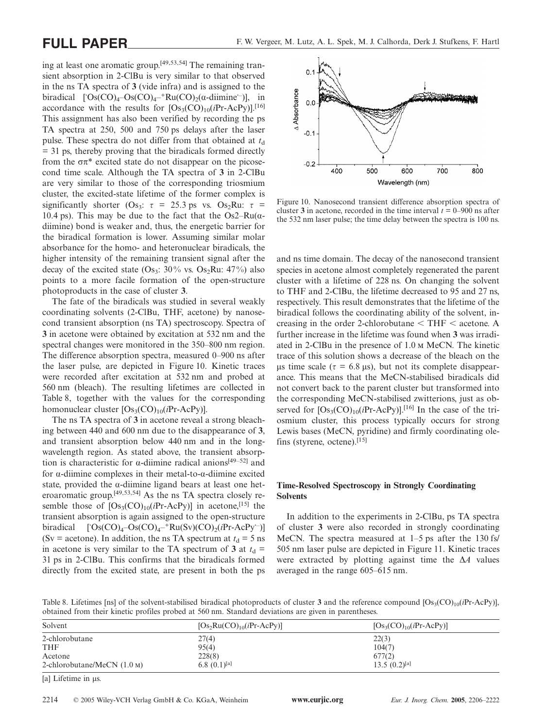ing at least one aromatic group.[49,53,54] The remaining transient absorption in 2-ClBu is very similar to that observed in the ns TA spectra of **3** (vide infra) and is assigned to the biradical ['Os(CO)<sub>4</sub>-Os(CO)<sub>4</sub><sup>-+</sup>Ru(CO)<sub>2</sub>(α-diimine<sup>--</sup>)], in accordance with the results for  $[Os<sub>3</sub>(CO)<sub>10</sub>(iPr-AcPy)]$ .<sup>[16]</sup> This assignment has also been verified by recording the ps TA spectra at 250, 500 and 750 ps delays after the laser pulse. These spectra do not differ from that obtained at  $t_d$ = 31 ps, thereby proving that the biradicals formed directly from the σπ\* excited state do not disappear on the picosecond time scale. Although the TA spectra of **3** in 2-ClBu are very similar to those of the corresponding triosmium cluster, the excited-state lifetime of the former complex is significantly shorter (Os<sub>3</sub>:  $\tau = 25.3$  ps vs. Os<sub>2</sub>Ru:  $\tau =$ 10.4 ps). This may be due to the fact that the  $Os2-Ru(\alpha$ diimine) bond is weaker and, thus, the energetic barrier for the biradical formation is lower. Assuming similar molar absorbance for the homo- and heteronuclear biradicals, the higher intensity of the remaining transient signal after the decay of the excited state  $(Os_3: 30\%$  vs.  $Os_2Ru: 47\%)$  also points to a more facile formation of the open-structure photoproducts in the case of cluster **3**.

The fate of the biradicals was studied in several weakly coordinating solvents (2-ClBu, THF, acetone) by nanosecond transient absorption (ns TA) spectroscopy. Spectra of **3** in acetone were obtained by excitation at 532 nm and the spectral changes were monitored in the 350–800 nm region. The difference absorption spectra, measured 0–900 ns after the laser pulse, are depicted in Figure 10. Kinetic traces were recorded after excitation at 532 nm and probed at 560 nm (bleach). The resulting lifetimes are collected in Table 8, together with the values for the corresponding homonuclear cluster  $[Os<sub>3</sub>(CO)<sub>10</sub>(iPr-AcPy)].$ 

The ns TA spectra of **3** in acetone reveal a strong bleaching between 440 and 600 nm due to the disappearance of **3**, and transient absorption below 440 nm and in the longwavelength region. As stated above, the transient absorption is characteristic for α-diimine radical anions<sup>[49–52]</sup> and for α-diimine complexes in their metal-to-α-diimine excited state, provided the  $\alpha$ -diimine ligand bears at least one heteroaromatic group.[49,53,54] As the ns TA spectra closely resemble those of  $[Os<sub>3</sub>(CO)<sub>10</sub>(iPr-AcPy)]$  in acetone,<sup>[15]</sup> the transient absorption is again assigned to the open-structure biradical  $[OS(CO)<sub>4</sub> - Os(CO)<sub>4</sub> -<sup>+</sup>Ru(Sv)(CO)<sub>2</sub>(*i*Pr-AcPy<sup>-</sup>)]$ (Sv = acetone). In addition, the ns TA spectrum at  $t_d = 5$  ns in acetone is very similar to the TA spectrum of **3** at  $t_d$  = 31 ps in 2-ClBu. This confirms that the biradicals formed directly from the excited state, are present in both the ps



Figure 10. Nanosecond transient difference absorption spectra of cluster **3** in acetone, recorded in the time interval  $t = 0-900$  ns after the 532 nm laser pulse; the time delay between the spectra is 100 ns.

and ns time domain. The decay of the nanosecond transient species in acetone almost completely regenerated the parent cluster with a lifetime of 228 ns. On changing the solvent to THF and 2-ClBu, the lifetime decreased to 95 and 27 ns, respectively. This result demonstrates that the lifetime of the biradical follows the coordinating ability of the solvent, increasing in the order 2-chlorobutane  $\leq$  THF  $\leq$  acetone. A further increase in the lifetime was found when **3** was irradiated in 2-ClBu in the presence of 1.0 m MeCN. The kinetic trace of this solution shows a decrease of the bleach on the μs time scale ( $\tau$  = 6.8 μs), but not its complete disappearance. This means that the MeCN-stabilised biradicals did not convert back to the parent cluster but transformed into the corresponding MeCN-stabilised zwitterions, just as observed for  $[Os<sub>3</sub>(CO)<sub>10</sub>(iPr-AcPy)]$ .<sup>[16]</sup> In the case of the triosmium cluster, this process typically occurs for strong Lewis bases (MeCN, pyridine) and firmly coordinating olefins (styrene, octene).[15]

# **Time-Resolved Spectroscopy in Strongly Coordinating Solvents**

In addition to the experiments in 2-ClBu, ps TA spectra of cluster **3** were also recorded in strongly coordinating MeCN. The spectra measured at 1–5 ps after the 130 fs/ 505 nm laser pulse are depicted in Figure 11. Kinetic traces were extracted by plotting against time the Δ*A* values averaged in the range 605–615 nm.

Table 8. Lifetimes [ns] of the solvent-stabilised biradical photoproducts of cluster **3** and the reference compound  $[Os<sub>3</sub>(CO)<sub>10</sub>(iPr-AcPy)]$ , obtained from their kinetic profiles probed at 560 nm. Standard deviations are given in parentheses.

| Solvent                               | $[Os_2Ru(CO)_{10}(iPr-AcPy)]$ | $[Os3(CO)10(iPr-AcPy)]$ |
|---------------------------------------|-------------------------------|-------------------------|
| 2-chlorobutane                        | 27(4)                         | 22(3)                   |
| <b>THF</b>                            | 95(4)                         | 104(7)                  |
| Acetone                               | 228(8)                        | 677(2)                  |
| 2-chlorobutane/MeCN $(1.0 \text{ M})$ | 6.8 $(0.1)$ <sup>[a]</sup>    | $13.5(0.2)^{[a]}$       |

[a] Lifetime in μs.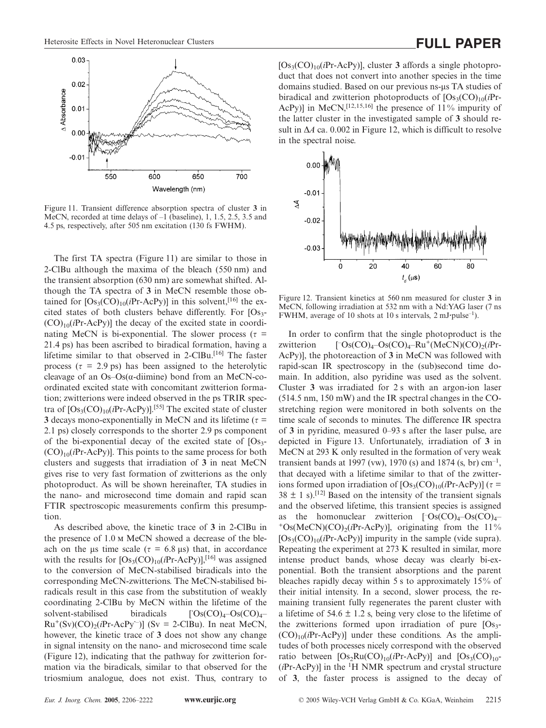

Figure 11. Transient difference absorption spectra of cluster **3** in MeCN, recorded at time delays of  $-1$  (baseline), 1, 1.5, 2.5, 3.5 and 4.5 ps, respectively, after 505 nm excitation (130 fs FWHM).

The first TA spectra (Figure 11) are similar to those in 2-ClBu although the maxima of the bleach (550 nm) and the transient absorption (630 nm) are somewhat shifted. Although the TA spectra of **3** in MeCN resemble those obtained for  $[Os<sub>3</sub>(CO)<sub>10</sub>(iPr-AcPy)]$  in this solvent,<sup>[16]</sup> the excited states of both clusters behave differently. For  $[Os<sub>3</sub>-]$  $(CO)_{10}(iPr-AcPy)$ ] the decay of the excited state in coordinating MeCN is bi-exponential. The slower process ( $\tau$  = 21.4 ps) has been ascribed to biradical formation, having a lifetime similar to that observed in 2-ClBu.<sup>[16]</sup> The faster process ( $\tau$  = 2.9 ps) has been assigned to the heterolytic cleavage of an  $Os-Os(\alpha$ -diimine) bond from an MeCN-coordinated excited state with concomitant zwitterion formation; zwitterions were indeed observed in the ps TRIR spectra of  $[Os<sub>3</sub>(CO)<sub>10</sub>(iPr-AcPy)]$ .<sup>[55]</sup> The excited state of cluster **3** decays mono-exponentially in MeCN and its lifetime ( $\tau$  = 2.1 ps) closely corresponds to the shorter 2.9 ps component of the bi-exponential decay of the excited state of  $[Os<sub>3</sub>-]$  $(CO)_{10}(iPr-AcPy)$ ]. This points to the same process for both clusters and suggests that irradiation of **3** in neat MeCN gives rise to very fast formation of zwitterions as the only photoproduct. As will be shown hereinafter, TA studies in the nano- and microsecond time domain and rapid scan FTIR spectroscopic measurements confirm this presumption.

As described above, the kinetic trace of **3** in 2-ClBu in the presence of 1.0 m MeCN showed a decrease of the bleach on the μs time scale ( $\tau$  = 6.8 μs) that, in accordance with the results for  $[Os<sub>3</sub>(CO)<sub>10</sub>(iPr-AcPy)]$ ,<sup>[16]</sup> was assigned to the conversion of MeCN-stabilised biradicals into the corresponding MeCN-zwitterions. The MeCN-stabilised biradicals result in this case from the substitution of weakly coordinating 2-ClBu by MeCN within the lifetime of the solvent-stabilised biradicals  $\int$ Os(CO)<sub>4</sub>–Os(CO)<sub>4</sub>–  $Ru^+(Sv)(CO)_2(iPr-AcPy^-)]$  (Sv = 2-ClBu). In neat MeCN, however, the kinetic trace of **3** does not show any change in signal intensity on the nano- and microsecond time scale (Figure 12), indicating that the pathway for zwitterion formation via the biradicals, similar to that observed for the triosmium analogue, does not exist. Thus, contrary to [Os3(CO)10(*i*Pr-AcPy)], cluster **3** affords a single photoproduct that does not convert into another species in the time domains studied. Based on our previous ns-μs TA studies of biradical and zwitterion photoproducts of  $[Os<sub>3</sub>(CO)<sub>10</sub>(iPr-$ AcPy)] in MeCN,<sup>[12,15,16]</sup> the presence of 11% impurity of the latter cluster in the investigated sample of **3** should result in Δ*A* ca. 0.002 in Figure 12, which is difficult to resolve in the spectral noise.



Figure 12. Transient kinetics at 560 nm measured for cluster **3** in MeCN, following irradiation at 532 nm with a Nd:YAG laser (7 ns FWHM, average of 10 shots at 10 s intervals, 2 mJ**·**pulse–1).

In order to confirm that the single photoproduct is the zwitterion Os(CO)4–Os(CO)4–Ru+(MeCN)(CO)2(*i*Pr-AcPy)], the photoreaction of **3** in MeCN was followed with rapid-scan IR spectroscopy in the (sub)second time domain. In addition, also pyridine was used as the solvent. Cluster **3** was irradiated for 2 s with an argon-ion laser (514.5 nm, 150 mW) and the IR spectral changes in the COstretching region were monitored in both solvents on the time scale of seconds to minutes. The difference IR spectra of **3** in pyridine, measured 0–93 s after the laser pulse, are depicted in Figure 13. Unfortunately, irradiation of **3** in MeCN at 293 K only resulted in the formation of very weak transient bands at 1997 (vw), 1970 (s) and 1874 (s, br)  $cm^{-1}$ , that decayed with a lifetime similar to that of the zwitterions formed upon irradiation of  $[Os<sub>3</sub>(CO)<sub>10</sub>(iPr-AcPy)]$  ( $\tau$  =  $38 \pm 1$  s).<sup>[12]</sup> Based on the intensity of the transient signals and the observed lifetime, this transient species is assigned as the homonuclear zwitterion  $[{}^{\circ}Os(CO)<sub>4</sub>–Os(CO)<sub>4</sub>–$  $^{+}$ Os(MeCN)(CO)<sub>2</sub>(*i*Pr-AcPy)], originating from the 11%  $[Os<sub>3</sub>(CO)<sub>10</sub>(iPr-AcPy)]$  impurity in the sample (vide supra). Repeating the experiment at 273 K resulted in similar, more intense product bands, whose decay was clearly bi-exponential. Both the transient absorptions and the parent bleaches rapidly decay within 5 s to approximately 15% of their initial intensity. In a second, slower process, the remaining transient fully regenerates the parent cluster with a lifetime of  $54.6 \pm 1.2$  s, being very close to the lifetime of the zwitterions formed upon irradiation of pure  $[Os<sub>3</sub> (CO)_{10}(iPr-AcPy)$ ] under these conditions. As the amplitudes of both processes nicely correspond with the observed ratio between  $[Os<sub>2</sub>Ru(CO)<sub>10</sub>(iPr-AcPy)]$  and  $[Os<sub>3</sub>(CO)<sub>10</sub>]$ (*i*Pr-AcPy)] in the <sup>1</sup> H NMR spectrum and crystal structure of **3**, the faster process is assigned to the decay of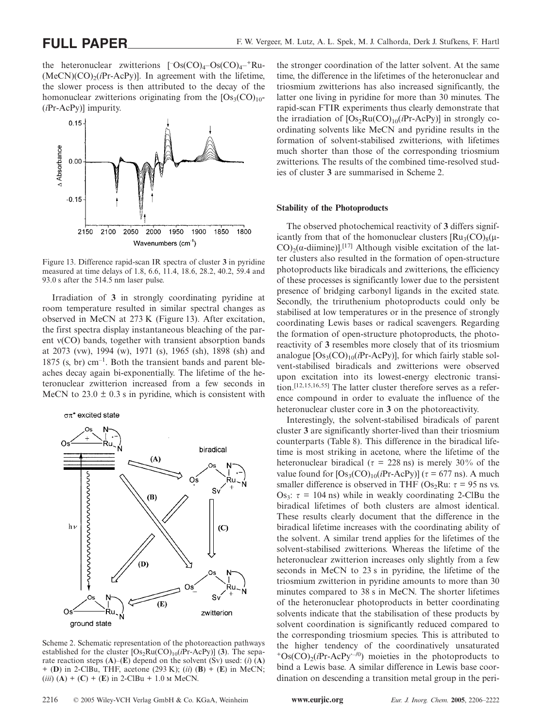the heteronuclear zwitterions  $[{}^{\text{-}Os(CO)}_4-{}^{\text{-}Os(CO)}_4-{}^{\text{+}}$ Ru- $(MeCN)(CO)<sub>2</sub>(iPr-AcPy)$ ]. In agreement with the lifetime, the slower process is then attributed to the decay of the homonuclear zwitterions originating from the  $[Os<sub>3</sub>(CO)<sub>10</sub>-$ (*i*Pr-AcPy)] impurity.



Figure 13. Difference rapid-scan IR spectra of cluster **3** in pyridine measured at time delays of 1.8, 6.6, 11.4, 18.6, 28.2, 40.2, 59.4 and 93.0 s after the 514.5 nm laser pulse.

Irradiation of **3** in strongly coordinating pyridine at room temperature resulted in similar spectral changes as observed in MeCN at 273 K (Figure 13). After excitation, the first spectra display instantaneous bleaching of the parent ν(CO) bands, together with transient absorption bands at 2073 (vw), 1994 (w), 1971 (s), 1965 (sh), 1898 (sh) and  $1875$  (s, br) cm<sup>-1</sup>. Both the transient bands and parent bleaches decay again bi-exponentially. The lifetime of the heteronuclear zwitterion increased from a few seconds in MeCN to  $23.0 \pm 0.3$  s in pyridine, which is consistent with





Scheme 2. Schematic representation of the photoreaction pathways established for the cluster  $[Os<sub>2</sub>Ru(CO)<sub>10</sub>(iPr-AcPy)]$  (3). The separate reaction steps (**A**)–(**E**) depend on the solvent (Sv) used: (*i*) (**A**) + (**D**) in 2-ClBu, THF, acetone (293 K); (*ii*) (**B**)+(**E**) in MeCN;  $(iii)$  (A) + (C) + (E) in 2-ClBu + 1.0 m MeCN.

the stronger coordination of the latter solvent. At the same time, the difference in the lifetimes of the heteronuclear and triosmium zwitterions has also increased significantly, the latter one living in pyridine for more than 30 minutes. The rapid-scan FTIR experiments thus clearly demonstrate that the irradiation of  $[Os_2Ru(CO)_{10}(iPr-AcPy)]$  in strongly coordinating solvents like MeCN and pyridine results in the formation of solvent-stabilised zwitterions, with lifetimes much shorter than those of the corresponding triosmium zwitterions. The results of the combined time-resolved studies of cluster **3** are summarised in Scheme 2.

#### **Stability of the Photoproducts**

The observed photochemical reactivity of **3** differs significantly from that of the homonuclear clusters  $\text{[Ru}_3(\text{CO})_8(\mu-$ CO)<sub>2</sub>( $\alpha$ -diimine)].<sup>[17]</sup> Although visible excitation of the latter clusters also resulted in the formation of open-structure photoproducts like biradicals and zwitterions, the efficiency of these processes is significantly lower due to the persistent presence of bridging carbonyl ligands in the excited state. Secondly, the triruthenium photoproducts could only be stabilised at low temperatures or in the presence of strongly coordinating Lewis bases or radical scavengers. Regarding the formation of open-structure photoproducts, the photoreactivity of **3** resembles more closely that of its triosmium analogue  $[Os<sub>3</sub>(CO)<sub>10</sub>(iPr-AcPy)]$ , for which fairly stable solvent-stabilised biradicals and zwitterions were observed upon excitation into its lowest-energy electronic transition.[12,15,16,55] The latter cluster therefore serves as a reference compound in order to evaluate the influence of the heteronuclear cluster core in **3** on the photoreactivity.

Interestingly, the solvent-stabilised biradicals of parent cluster **3** are significantly shorter-lived than their triosmium counterparts (Table 8). This difference in the biradical lifetime is most striking in acetone, where the lifetime of the heteronuclear biradical ( $\tau = 228$  ns) is merely 30% of the value found for  $[Os<sub>3</sub>(CO)<sub>10</sub>(iPr-AcPy)]$  ( $\tau$  = 677 ns). A much smaller difference is observed in THF (Os<sub>2</sub>Ru:  $\tau$  = 95 ns vs. Os<sub>3</sub>:  $\tau = 104$  ns) while in weakly coordinating 2-ClBu the biradical lifetimes of both clusters are almost identical. These results clearly document that the difference in the biradical lifetime increases with the coordinating ability of the solvent. A similar trend applies for the lifetimes of the solvent-stabilised zwitterions. Whereas the lifetime of the heteronuclear zwitterion increases only slightly from a few seconds in MeCN to 23 s in pyridine, the lifetime of the triosmium zwitterion in pyridine amounts to more than 30 minutes compared to 38 s in MeCN. The shorter lifetimes of the heteronuclear photoproducts in better coordinating solvents indicate that the stabilisation of these products by solvent coordination is significantly reduced compared to the corresponding triosmium species. This is attributed to the higher tendency of the coordinatively unsaturated +Os(CO)2(*i*Pr-AcPy**·**–/0) moieties in the photoproducts to bind a Lewis base. A similar difference in Lewis base coordination on descending a transition metal group in the peri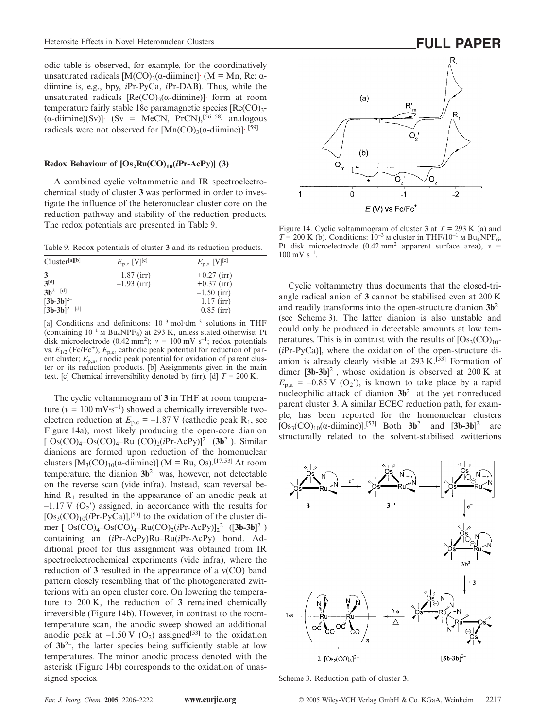odic table is observed, for example, for the coordinatively unsaturated radicals  $[M(CO)<sub>3</sub>(\alpha$ -diimine)]· (M = Mn, Re;  $\alpha$ diimine is, e.g., bpy, *i*Pr-PyCa, *i*Pr-DAB). Thus, while the unsaturated radicals  $[Re(CO)<sub>3</sub>(\alpha$ -diimine)]· form at room temperature fairly stable 18e paramagnetic species  $[Re(CO)<sub>3</sub> (\alpha$ -diimine)(Sv)]· (Sv = MeCN, PrCN),<sup>[56–58]</sup> analogous radicals were not observed for  $[Mn(CO)_3(\alpha\text{-dimine})]$ .<sup>[59]</sup>

#### **Redox Behaviour of**  $[Os_2Ru(CO)_{10}(iPr-AcPy)]$  **(3)**

A combined cyclic voltammetric and IR spectroelectrochemical study of cluster **3** was performed in order to investigate the influence of the heteronuclear cluster core on the reduction pathway and stability of the reduction products. The redox potentials are presented in Table 9.

Table 9. Redox potentials of cluster **3** and its reduction products.

| Cluster <sup>[a][b]</sup>                                         | $E_{\rm p,c}$ [V] <sup>[c]</sup> | $E_{\rm p,a}$ [V] <sup>[c]</sup>                                                  |
|-------------------------------------------------------------------|----------------------------------|-----------------------------------------------------------------------------------|
| 3<br>3[d]<br>$3h^{2-}$ [d]<br>$[3b-3b]^{2-}$<br>$[3b-3b]^{2-[d]}$ | $-1.87$ (irr)<br>$-1.93$ (irr)   | $+0.27$ (irr)<br>$+0.37$ (irr)<br>$-1.50$ (irr)<br>$-1.17$ (irr)<br>$-0.85$ (irr) |

[a] Conditions and definitions:  $10^{-3}$  mol·dm<sup>-3</sup> solutions in THF (containing  $10^{-1}$  M Bu<sub>4</sub>NPF<sub>6</sub>) at 293 K, unless stated otherwise; Pt disk microelectrode (0.42 mm<sup>2</sup>);  $v = 100$  mV s<sup>-1</sup>; redox potentials vs.  $E_{1/2}$  (Fc/Fc<sup>+</sup>);  $E_{p,c}$ , cathodic peak potential for reduction of parent cluster;  $E_{p,a}$ , anodic peak potential for oxidation of parent cluster or its reduction products. [b] Assignments given in the main text. [c] Chemical irreversibility denoted by (irr). [d]  $T = 200$  K.

The cyclic voltammogram of **3** in THF at room temperature ( $v = 100 \text{ mV·s}^{-1}$ ) showed a chemically irreversible twoelectron reduction at  $E_{p,c} = -1.87$  V (cathodic peak R<sub>1</sub>, see Figure 14a), most likely producing the open-core dianion [ – Os(CO)4–Os(CO)4–Ru– (CO)2(*i*Pr-AcPy)]2– (**3b**2–). Similar dianions are formed upon reduction of the homonuclear clusters  $[M_3(CO)_{10}(\alpha\text{-dimine})]$  (M = Ru, Os).<sup>[17,53]</sup> At room temperature, the dianion  $3b^{2-}$  was, however, not detectable on the reverse scan (vide infra). Instead, scan reversal behind  $R_1$  resulted in the appearance of an anodic peak at  $-1.17$  V (O<sub>2</sub>') assigned, in accordance with the results for  $[Os<sub>3</sub>(CO)<sub>10</sub>(iPr-PyCa)]$ ,<sup>[53]</sup> to the oxidation of the cluster dimer  $[\text{{}^{-}Os(CO)<sub>4</sub>–Os(CO)<sub>4</sub>–Ru(CO)<sub>2</sub>(*i*Pr-AcPy)]<sub>2</sub><sup>2–</sup> ([3b-3b]<sup>2–</sup>)$ containing an (*i*Pr-AcPy)Ru–Ru(*i*Pr-AcPy) bond. Additional proof for this assignment was obtained from IR spectroelectrochemical experiments (vide infra), where the reduction of **3** resulted in the appearance of a ν(CO) band pattern closely resembling that of the photogenerated zwitterions with an open cluster core. On lowering the temperature to 200 K, the reduction of **3** remained chemically irreversible (Figure 14b). However, in contrast to the roomtemperature scan, the anodic sweep showed an additional anodic peak at  $-1.50 \text{ V}$  (O<sub>2</sub>) assigned<sup>[53]</sup> to the oxidation of **3b**2–, the latter species being sufficiently stable at low temperatures. The minor anodic process denoted with the asterisk (Figure 14b) corresponds to the oxidation of unassigned species.





Figure 14. Cyclic voltammogram of cluster 3 at  $T = 293$  K (a) and *T* = 200 K (b). Conditions:  $10^{-3}$  M cluster in THF/10<sup>-1</sup> M Bu<sub>4</sub>NPF<sub>6</sub>, Pt disk microelectrode  $(0.42 \text{ mm}^2)$  apparent surface area),  $v =$  $100 \text{ mV s}^{-1}$ .

Cyclic voltammetry thus documents that the closed-triangle radical anion of **3** cannot be stabilised even at 200 K and readily transforms into the open-structure dianion **3b**2– (see Scheme 3). The latter dianion is also unstable and could only be produced in detectable amounts at low temperatures. This is in contrast with the results of  $[Os<sub>3</sub>(CO)<sub>10</sub>-$ (*i*Pr-PyCa)], where the oxidation of the open-structure dianion is already clearly visible at  $293 \text{ K}$ .<sup>[53]</sup> Formation of dimer [**3b-3b**] 2–, whose oxidation is observed at 200 K at  $E_{p,a}$  = –0.85 V (O<sub>2</sub>'), is known to take place by a rapid nucleophilic attack of dianion **3b**2– at the yet nonreduced parent cluster **3**. A similar ECEC reduction path, for example, has been reported for the homonuclear clusters  $[Os_3(CO)_{10}(\alpha\text{-dimine})]$ <sup>[53]</sup> Both **3b**<sup>2–</sup> and  $[3b-3b]$ <sup>2–</sup> are structurally related to the solvent-stabilised zwitterions



Scheme 3. Reduction path of cluster **3**.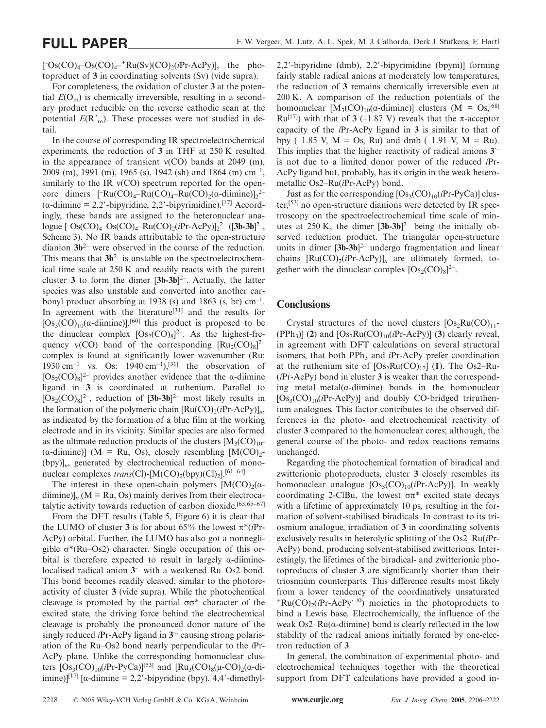$[$ <sup>-</sup>Os(CO)<sub>4</sub>-Os(CO)<sub>4</sub><sup>-+</sup>Ru(Sv)(CO)<sub>2</sub>(*i*Pr-AcPy)], the photoproduct of **3** in coordinating solvents (Sv) (vide supra).

For completeness, the oxidation of cluster **3** at the potential  $E(O_m)$  is chemically irreversible, resulting in a secondary product reducible on the reverse cathodic scan at the potential  $E(\mathbf{R'}_{\text{m}})$ . These processes were not studied in detail.

In the course of corresponding IR spectroelectrochemical experiments, the reduction of **3** in THF at 250 K resulted in the appearance of transient  $v(CO)$  bands at 2049 (m), 2009 (m), 1991 (m), 1965 (s), 1942 (sh) and 1864 (m)  $cm^{-1}$ . similarly to the IR  $v(CO)$  spectrum reported for the opencore dimers  $[\text{-Ru(CO)<sub>4</sub>-Ru(CO)<sub>4</sub>-Ru(CO)<sub>2</sub>(\alpha\text{-dimine})]_2^2$  $(\alpha$ -diimine = 2,2'-bipyridine, 2,2'-bipyrimidine).<sup>[17]</sup> Accordingly, these bands are assigned to the heteronuclear analogue [<sup>-</sup>Os(CO)<sub>4</sub>-Os(CO)<sub>4</sub>-Ru(CO)<sub>2</sub>(*i*Pr-AcPy)]<sub>2</sub><sup>2-</sup> ([**3b-3b**]<sup>2-</sup>, Scheme 3). No IR bands attributable to the open-structure dianion **3b**2– were observed in the course of the reduction. This means that  $3b^{2-}$  is unstable on the spectroelectrochemical time scale at 250 K and readily reacts with the parent cluster **3** to form the dimer [**3b-3b**] 2–. Actually, the latter species was also unstable and converted into another carbonyl product absorbing at 1938 (s) and 1863 (s, br)  $cm^{-1}$ . In agreement with the literature<sup>[31]</sup> and the results for  $[Os<sub>3</sub>(CO)<sub>10</sub>(\alpha$ -diimine)],<sup>[60]</sup> this product is proposed to be the dinuclear complex  $[Os_2(CO)_8]^{2-}$ . As the highest-frequency  $v(CO)$  band of the corresponding  $[Ru_2(CO)_8]^{2-}$ complex is found at significantly lower wavenumber (Ru: 1930 cm<sup>-1</sup> vs. Os: 1940 cm<sup>-1</sup>),<sup>[31]</sup> the observation of  $[Os_2(CO)_8]^{2-}$  provides another evidence that the  $\alpha$ -diimine ligand in **3** is coordinated at ruthenium. Parallel to  $[Os_2(CO)_8]^{2-}$ , reduction of  $[3b-3b]^{2-}$  most likely results in the formation of the polymeric chain  $[Ru(CO)_{2}(iPr-AcPy)]_{n}$ , as indicated by the formation of a blue film at the working electrode and in its vicinity. Similar species are also formed as the ultimate reduction products of the clusters  $[M_3(CO)_{10}]$ ( $\alpha$ -diimine)] (M = Ru, Os), closely resembling [M(CO)<sub>2</sub>-(bpy)]*n*, generated by electrochemical reduction of mononuclear complexes  $trans(Cl)$ -[M(CO)<sub>2</sub>(bpy)(Cl)<sub>2</sub>].<sup>[61–64]</sup>

The interest in these open-chain polymers  $[M(CO)<sub>2</sub>(\alpha$ diimine) $]_n$  (M = Ru, Os) mainly derives from their electrocatalytic activity towards reduction of carbon dioxide.<sup>[63,65–67]</sup>

From the DFT results (Table 5, Figure 6) it is clear that the LUMO of cluster **3** is for about 65% the lowest  $\pi^*(iPr$ -AcPy) orbital. Further, the LUMO has also got a nonnegligible  $\sigma^*(Ru-Os2)$  character. Single occupation of this orbital is therefore expected to result in largely  $\alpha$ -diiminelocalised radical anion **3·**– with a weakened Ru–Os2 bond. This bond becomes readily cleaved, similar to the photoreactivity of cluster **3** (vide supra). While the photochemical cleavage is promoted by the partial  $\sigma\sigma^*$  character of the excited state, the driving force behind the electrochemical cleavage is probably the pronounced donor nature of the singly reduced *i*Pr-AcPy ligand in 3<sup>-</sup> causing strong polarisation of the Ru–Os2 bond nearly perpendicular to the *i*Pr-AcPy plane. Unlike the corresponding homonuclear clusters  $[Os<sub>3</sub>(CO)<sub>10</sub>(iPr-PyCa)<sup>[53]</sup>$  and  $[Ru<sub>3</sub>(CO)<sub>8</sub>(\mu-CO)<sub>2</sub>(\alpha-di-  
10]$ imine)]<sup>[17]</sup> [ $\alpha$ -diimine = 2,2'-bipyridine (bpy), 4,4'-dimethyl2,2-bipyridine (dmb), 2,2-bipyrimidine (bpym)] forming fairly stable radical anions at moderately low temperatures, the reduction of **3** remains chemically irreversible even at 200 K. A comparison of the reduction potentials of the homonuclear  $[M_3(CO)_{10}(\alpha$ -diimine)] clusters  $(M = Os<sub>1</sub>^{[68]}$ Ru<sup>[17]</sup>) with that of **3** (-1.87 V) reveals that the π-acceptor capacity of the *i*Pr-AcPy ligand in **3** is similar to that of bpy (–1.85 V,  $M = Os$ , Ru) and dmb (–1.91 V,  $M = Ru$ ). This implies that the higher reactivity of radical anions **3·**– is not due to a limited donor power of the reduced *i*Pr-AcPy ligand but, probably, has its origin in the weak heterometallic Os2–Ru(*i*Pr-AcPy) bond.

Just as for the corresponding  $[Os<sub>3</sub>(CO)<sub>10</sub>(iPr-PyCa)]$  cluster,[53] no open-structure dianions were detected by IR spectroscopy on the spectroelectrochemical time scale of minutes at  $250$  K, the dimer  $[3b-3b]^2$  being the initially observed reduction product. The triangular open-structure units in dimer [**3b-3b**] 2– undergo fragmentation and linear chains  $[Ru(CO)<sub>2</sub>(iPr-AcPy)]<sub>n</sub>$  are ultimately formed, together with the dinuclear complex  $[Os_2(CO)_8]^{2-}$ .

# **Conclusions**

Crystal structures of the novel clusters  $[Os_2Ru(CO)_{11}$ - $(PPh<sub>3</sub>)$ ] (2) and  $[Os<sub>2</sub>Ru(CO)<sub>10</sub>(iPr-AcPy)]$  (3) clearly reveal, in agreement with DFT calculations on several structural isomers, that both PPh<sub>3</sub> and *i*Pr-AcPy prefer coordination at the ruthenium site of  $[Os<sub>2</sub>Ru(CO)<sub>12</sub>]$  (1). The Os2–Ru-(*i*Pr-AcPy) bond in cluster **3** is weaker than the corresponding metal–metal( $\alpha$ -diimine) bonds in the homonuclear  $[Os<sub>3</sub>(CO)<sub>10</sub>(iPr-AcP<sub>V</sub>)]$  and doubly CO-bridged triruthenium analogues. This factor contributes to the observed differences in the photo- and electrochemical reactivity of cluster **3** compared to the homonuclear cores; although, the general course of the photo- and redox reactions remains unchanged.

Regarding the photochemical formation of biradical and zwitterionic photoproducts, cluster **3** closely resembles its homonuclear analogue  $[Os<sub>3</sub>(CO)<sub>10</sub>(iPr-AcPy)]$ . In weakly coordinating 2-ClBu, the lowest σπ\* excited state decays with a lifetime of approximately 10 ps, resulting in the formation of solvent-stabilised biradicals. In contrast to its triosmium analogue, irradiation of **3** in coordinating solvents exclusively results in heterolytic splitting of the Os2–Ru(*i*Pr-AcPy) bond, producing solvent-stabilised zwitterions. Interestingly, the lifetimes of the biradical- and zwitterionic photoproducts of cluster **3** are significantly shorter than their triosmium counterparts. This difference results most likely from a lower tendency of the coordinatively unsaturated  $+Ru(CO)_{2}(iPr-AcPy^{-10})$  moieties in the photoproducts to bind a Lewis base. Electrochemically, the influence of the weak Os2–Ru( $\alpha$ -diimine) bond is clearly reflected in the low stability of the radical anions initially formed by one-electron reduction of **3**.

In general, the combination of experimental photo- and electrochemical techniques together with the theoretical support from DFT calculations have provided a good in-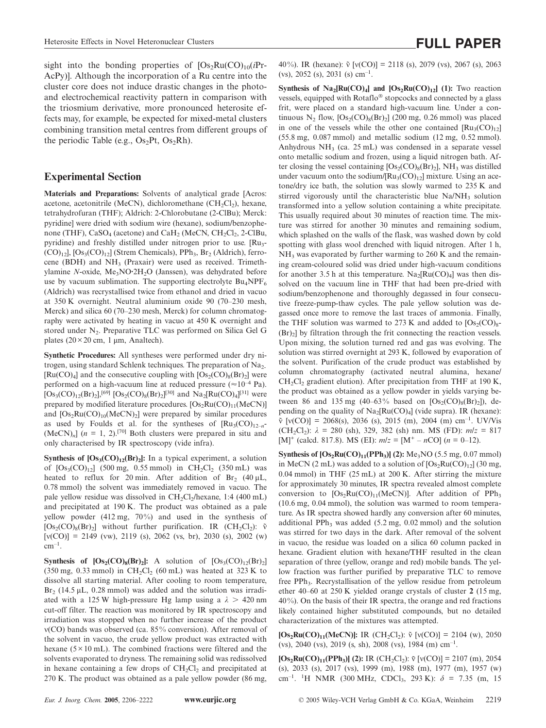sight into the bonding properties of  $[Os<sub>2</sub>Ru(CO)<sub>10</sub>(iPr-$ AcPy)]. Although the incorporation of a Ru centre into the cluster core does not induce drastic changes in the photoand electrochemical reactivity pattern in comparison with the triosmium derivative, more pronounced heterosite effects may, for example, be expected for mixed-metal clusters combining transition metal centres from different groups of the periodic Table (e.g.,  $Os<sub>2</sub>Pt$ ,  $Os<sub>2</sub>Rh$ ).

# **Experimental Section**

**Materials and Preparations:** Solvents of analytical grade [Acros: acetone, acetonitrile (MeCN), dichloromethane (CH<sub>2</sub>Cl<sub>2</sub>), hexane, tetrahydrofuran (THF); Aldrich: 2-Chlorobutane (2-ClBu); Merck: pyridine] were dried with sodium wire (hexane), sodium/benzophenone (THF),  $CaSO_4$  (acetone) and  $CaH_2$  (MeCN,  $CH_2Cl_2$ , 2-ClBu, pyridine) and freshly distilled under nitrogen prior to use. [Ru<sub>3</sub>- $(CO)_{12}$ ,  $[Os<sub>3</sub>(CO)<sub>12</sub>]$  (Strem Chemicals), PPh<sub>3</sub>, Br<sub>2</sub> (Aldrich), ferrocene (BDH) and NH<sub>3</sub> (Praxair) were used as received. Trimethvlamine *N*-oxide, Me<sub>3</sub>NO<sup></sup>·2H<sub>2</sub>O (Janssen), was dehydrated before use by vacuum sublimation. The supporting electrolyte  $Bu_4NPF_6$ (Aldrich) was recrystallised twice from ethanol and dried in vacuo at 350 K overnight. Neutral aluminium oxide 90 (70–230 mesh, Merck) and silica 60 (70–230 mesh, Merck) for column chromatography were activated by heating in vacuo at 450 K overnight and stored under N<sub>2</sub>. Preparative TLC was performed on Silica Gel G plates  $(20 \times 20 \text{ cm}, 1 \text{ }\mu\text{m}, \text{Analtech})$ .

**Synthetic Procedures:** All syntheses were performed under dry nitrogen, using standard Schlenk techniques. The preparation of  $Na<sub>2</sub>$  $[Ru(CO)<sub>4</sub>]$  and the consecutive coupling with  $[Os<sub>2</sub>(CO)<sub>8</sub>(Br)<sub>2</sub>]$  were performed on a high-vacuum line at reduced pressure ( $\approx 10^{-4}$  Pa).  $[Os_3(CO)_{12}(Br)_2]$ ,<sup>[69]</sup>  $[Os_2(CO)_8(Br)_2]$ <sup>[30]</sup> and Na<sub>2</sub>[Ru(CO)<sub>4</sub>]<sup>[31]</sup> were prepared by modified literature procedures.  $[Os_2Ru(CO)_{11}(MeCN)]$ and  $[Os_2Ru(CO)_{10}(MeCN)_2]$  were prepared by similar procedures as used by Foulds et al. for the syntheses of  $\left[\text{Ru}_3(\text{CO})_{12-n}\right]$  $(MeCN)<sub>n</sub>$ ] ( $n = 1, 2$ ).<sup>[70]</sup> Both clusters were prepared in situ and only characterised by IR spectroscopy (vide infra).

**Synthesis of**  $[Os<sub>3</sub>(CO)<sub>12</sub>(Br)<sub>2</sub>]$ **:** In a typical experiment, a solution of  $[Os<sub>3</sub>(CO)<sub>12</sub>]$  (500 mg, 0.55 mmol) in CH<sub>2</sub>Cl<sub>2</sub> (350 mL) was heated to reflux for 20 min. After addition of  $Br_2$  (40  $\mu$ L, 0.78 mmol) the solvent was immediately removed in vacuo. The pale yellow residue was dissolved in  $CH_2Cl<sub>2</sub>/hexane$ , 1:4 (400 mL) and precipitated at 190 K. The product was obtained as a pale yellow powder  $(412 \text{ mg}, 70\%)$  and used in the synthesis of  $[Os_2(CO)_8(Br)_2]$  without further purification. IR  $(CH_2Cl_2)$ : ν  $[v(CO)] = 2149$  (vw), 2119 (s), 2062 (vs, br), 2030 (s), 2002 (w)  $cm^{-1}$ .

**Synthesis of**  $[Os_2(CO)_8(Br)_2]$ **:** A solution of  $[Os_3(CO)_{12}(Br)_2]$ (350 mg, 0.33 mmol) in CH<sub>2</sub>Cl<sub>2</sub> (60 mL) was heated at 323 K to dissolve all starting material. After cooling to room temperature,  $Br<sub>2</sub>$  (14.5 µL, 0.28 mmol) was added and the solution was irradiated with a 125 W high-pressure Hg lamp using a  $\lambda > 420$  nm cut-off filter. The reaction was monitored by IR spectroscopy and irradiation was stopped when no further increase of the product ν(CO) bands was observed (ca. 85 % conversion). After removal of the solvent in vacuo, the crude yellow product was extracted with hexane  $(5 \times 10 \text{ mL})$ . The combined fractions were filtered and the solvents evaporated to dryness. The remaining solid was redissolved in hexane containing a few drops of  $CH<sub>2</sub>Cl<sub>2</sub>$  and precipitated at 270 K. The product was obtained as a pale yellow powder (86 mg,

40%). IR (hexane):  $\tilde{v}$  [v(CO)] = 2118 (s), 2079 (vs), 2067 (s), 2063 (vs), 2052 (s), 2031 (s) cm<sup>-1</sup>.

**Synthesis of Na<sub>2</sub>[Ru(CO)<sub>4</sub>] and**  $[Os_2Ru(CO)_{12}]$  **(1): Two reaction** vessels, equipped with Rotaflo® stopcocks and connected by a glass frit, were placed on a standard high-vacuum line. Under a continuous N<sub>2</sub> flow,  $[Os_2(CO)_8(Br)_2]$  (200 mg, 0.26 mmol) was placed in one of the vessels while the other one contained  $\text{[Ru}_{3}(\text{CO})_{12}\text{]}$ (55.8 mg, 0.087 mmol) and metallic sodium (12 mg, 0.52 mmol). Anhydrous  $NH_3$  (ca. 25 mL) was condensed in a separate vessel onto metallic sodium and frozen, using a liquid nitrogen bath. After closing the vessel containing  $[Os_2(CO)_8(Br)_2]$ , NH<sub>3</sub> was distilled under vacuum onto the sodium/ $\text{[Ru}_3(\text{CO})_{12}\text{]}$  mixture. Using an acetone/dry ice bath, the solution was slowly warmed to 235 K and stirred vigorously until the characteristic blue Na/NH<sub>3</sub> solution transformed into a yellow solution containing a white precipitate. This usually required about 30 minutes of reaction time. The mixture was stirred for another 30 minutes and remaining sodium, which splashed on the walls of the flask, was washed down by cold spotting with glass wool drenched with liquid nitrogen. After 1 h,  $NH<sub>3</sub>$  was evaporated by further warming to 260 K and the remaining cream-coloured solid was dried under high-vacuum conditions for another 3.5 h at this temperature.  $Na<sub>2</sub>[Ru(CO)<sub>4</sub>]$  was then dissolved on the vacuum line in THF that had been pre-dried with sodium/benzophenone and thoroughly degassed in four consecutive freeze-pump-thaw cycles. The pale yellow solution was degassed once more to remove the last traces of ammonia. Finally, the THF solution was warmed to 273 K and added to  $[Os_2(CO)<sub>8</sub>$ - $(Br)$ <sup>2</sup> by filtration through the frit connecting the reaction vessels. Upon mixing, the solution turned red and gas was evolving. The solution was stirred overnight at 293 K, followed by evaporation of the solvent. Purification of the crude product was established by column chromatography (activated neutral alumina, hexane/  $CH<sub>2</sub>Cl<sub>2</sub>$  gradient elution). After precipitation from THF at 190 K, the product was obtained as a yellow powder in yields varying between 86 and 135 mg (40–63% based on  $[Os_2(CO)_8(Br)_2]$ ), depending on the quality of  $Na<sub>2</sub>[Ru(CO)<sub>4</sub>]$  (vide supra). IR (hexane):  $\tilde{v}$  [v(CO)] = 2068(s), 2036 (s), 2015 (m), 2004 (m) cm<sup>-1</sup>. UV/Vis (CH<sub>2</sub>Cl<sub>2</sub>):  $\lambda = 280$  (sh), 329, 382 (sh) nm. MS (FD):  $m/z = 817$  $[M]^+$  (calcd. 817.8). MS (EI):  $m/z = [M^+ - nCO]$  ( $n = 0-12$ ).

**Synthesis of**  $[Os_2Ru(CO)_{11}(PPh_3)]$  **(2):** Me<sub>3</sub>NO (5.5 mg, 0.07 mmol) in MeCN (2 mL) was added to a solution of  $[Os_2Ru(CO)_{12}]$  (30 mg, 0.04 mmol) in THF (25 mL) at 200 K. After stirring the mixture for approximately 30 minutes, IR spectra revealed almost complete conversion to  $[Os_2Ru(CO)_{11}(MeCN)]$ . After addition of PPh<sub>3</sub> (10.6 mg, 0.04 mmol), the solution was warmed to room temperature. As IR spectra showed hardly any conversion after 60 minutes, additional PPh<sub>3</sub> was added  $(5.2 \text{ mg}, 0.02 \text{ mmol})$  and the solution was stirred for two days in the dark. After removal of the solvent in vacuo, the residue was loaded on a silica 60 column packed in hexane. Gradient elution with hexane/THF resulted in the clean separation of three (yellow, orange and red) mobile bands. The yellow fraction was further purified by preparative TLC to remove free PPh<sub>3</sub>. Recrystallisation of the yellow residue from petroleum ether 40–60 at 250 K yielded orange crystals of cluster **2** (15 mg,  $40\%$ ). On the basis of their IR spectra, the orange and red fractions likely contained higher substituted compounds, but no detailed characterization of the mixtures was attempted.

**[Os<sub>2</sub>Ru(CO)<sub>11</sub>(MeCN)]:** IR (CH<sub>2</sub>Cl<sub>2</sub>):  $\tilde{v}$  [v(CO)] = 2104 (w), 2050 (vs), 2040 (vs), 2019 (s, sh), 2008 (vs), 1984 (m)  $cm^{-1}$ .

**[Os<sub>2</sub>Ru(CO)<sub>11</sub>(PPh<sub>3</sub>)] (2):** IR (CH<sub>2</sub>Cl<sub>2</sub>):  $\tilde{v}$  [v(CO)] = 2107 (m), 2054 (s), 2033 (s), 2017 (vs), 1999 (m), 1988 (m), 1977 (m), 1957 (w) cm–1. <sup>1</sup> H NMR (300 MHz, CDCl3, 293 K): *δ* = 7.35 (m, 15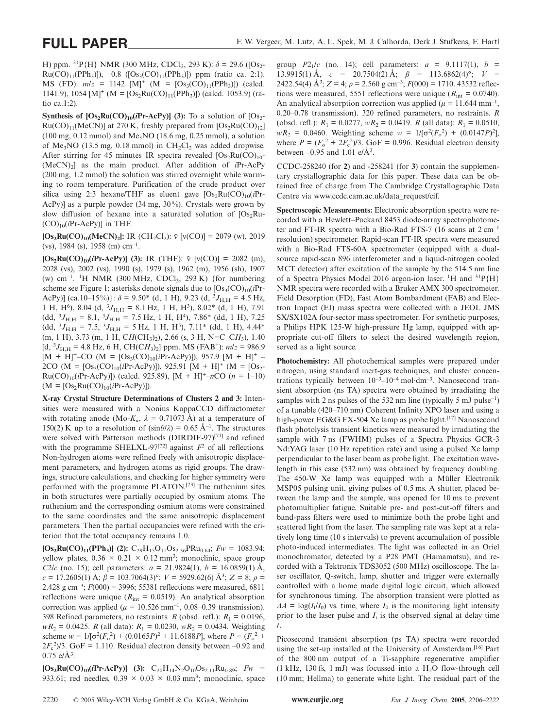H) ppm.  ${}^{31}P\{H\}$  NMR (300 MHz, CDCl<sub>3</sub>, 293 K):  $\delta$  = 29.6 ([Os<sub>2</sub>- $Ru(CO)_{11}(PPh_3)]$ , -0.8 ( $[Os_3(CO)_{11}(PPh_3)]$ ) ppm (ratio ca. 2:1). MS (FD):  $m/z = 1142$  [M]<sup>+</sup> (M = [Os<sub>3</sub>(CO)<sub>11</sub>(PPh<sub>3</sub>)]) (calcd. 1141.9), 1054 [M]<sup>+</sup> (M = [Os<sub>2</sub>Ru(CO)<sub>11</sub>(PPh<sub>3</sub>)]) (calcd. 1053.9) (ratio ca.1:2).

**Synthesis of**  $[Os_2Ru(CO)_{10}(iPr-AcPv)]$  **(3):** To a solution of  $[Os_2-AcPv]$  $Ru(CO)_{11}(MeCN)$ ] at 270 K, freshly prepared from  $[Os_2Ru(CO)_{12}]$  $(100 \text{ mg}, 0.12 \text{ mmol})$  and  $\text{Me}_3\text{NO}$   $(18.6 \text{ mg}, 0.25 \text{ mmol})$ , a solution of Me<sub>3</sub>NO (13.5 mg, 0.18 mmol) in  $CH<sub>2</sub>Cl<sub>2</sub>$  was added dropwise. After stirring for 45 minutes IR spectra revealed  $[Os<sub>2</sub>Ru(CO)<sub>10</sub>$ -(MeCN)2] as the main product. After addition of *i*Pr-AcPy (200 mg, 1.2 mmol) the solution was stirred overnight while warming to room temperature. Purification of the crude product over silica using 2:3 hexane/THF as eluent gave  $[Os_2Ru(CO)_{10}(iPr-$ AcPy)] as a purple powder (34 mg, 30%). Crystals were grown by slow diffusion of hexane into a saturated solution of  $[Os_2Ru-$ (CO)10(*i*Pr-AcPy)] in THF.

**[Os<sub>2</sub>Ru(CO)<sub>10</sub>(MeCN)<sub>2</sub>]:** IR (CH<sub>2</sub>Cl<sub>2</sub>):  $\tilde{v}$  [v(CO)] = 2079 (w), 2019 (vs), 1984 (s), 1958 (m)  $cm^{-1}$ .

**[Os<sub>2</sub>Ru(CO)<sub>10</sub>(***i***Pr-AcPy)] (3):** IR (THF):  $\tilde{v}$  [ $v$ (CO)] = 2082 (m), 2028 (vs), 2002 (vs), 1990 (s), 1979 (s), 1962 (m), 1956 (sh), 1907 (w) cm<sup>-1</sup>. <sup>1</sup>H NMR (300 MHz, CDCl<sub>3</sub>, 293 K) {for numbering scheme see Figure 1; asterisks denote signals due to  $[Os<sub>3</sub>(CO)<sub>10</sub>(iPr-$ AcPy)] (ca.10–15%)}:  $\delta = 9.50^*$  (d, 1 H), 9.23 (d, <sup>3</sup>J<sub>H,H</sub> = 4.5 Hz, 1 H, H<sup>6</sup>), 8.04 (d,  ${}^{3}J_{\text{H,H}} = 8.1 \text{ Hz}$ , 1 H, H<sup>3</sup>), 8.02\* (d, 1 H), 7.91  $(dd, {}^{3}J_{\text{H,H}} = 8.1, {}^{3}J_{\text{H,H}} = 7.5 \text{ Hz}, 1 \text{ H}, \text{H}^{4}$ ), 7.86\* (dd, 1 H), 7.25  $(dd, {}^{3}J_{\text{H,H}} = 7.5, {}^{3}J_{\text{H,H}} = 5 \text{ Hz}, 1 \text{ H}, \text{H}^{5}$ ),  $7.11^{*}$  (dd, 1 H), 4.44<sup>\*</sup>  $(m, 1 H)$ , 3.73  $(m, 1 H, CH(CH_3)$ , 2.66 (s, 3 H, N=C–C $H_3$ ), 1.40  $[d, {}^{3}J_{H,H} = 4.8 \text{ Hz}, 6 \text{ H}, \text{CH}(CH_3)_2] \text{ ppm}. \text{ MS (FAB<sup>+</sup>): } m/z = 986.9$  $[M + H]^{+}$ –CO (M = [Os<sub>3</sub>(CO)<sub>10</sub>(*i*Pr-AcPy)]), 957.9 [M + H]<sup>+</sup> – 2CO (M =  $[Os<sub>3</sub>(CO)<sub>10</sub>(iPr-AcPy)]$ ), 925.91 [M + H]<sup>+</sup> (M =  $[Os<sub>2</sub>$ - $Ru(CO)_{10}(iPr-AcPy)$ ]) (calcd. 925.89),  $[M + H]^{+}$ –*n*CO (*n* = 1–10)  $(M = [Os<sub>2</sub>Ru(CO)<sub>10</sub>(iPr-AcPy)]$ .

**X-ray Crystal Structure Determinations of Clusters 2 and 3:** Intensities were measured with a Nonius KappaCCD diffractometer with rotating anode (Mo- $K_{\alpha}$ ,  $\lambda = 0.71073 \text{ Å}$ ) at a temperature of 150(2) K up to a resolution of  $(\sin \theta/\lambda) = 0.65 \text{ Å}^{-1}$ . The structures were solved with Patterson methods (DIRDIF-97)<sup>[71]</sup> and refined with the programme SHELXL-97<sup>[72]</sup> against  $F<sup>2</sup>$  of all reflections. Non-hydrogen atoms were refined freely with anisotropic displacement parameters, and hydrogen atoms as rigid groups. The drawings, structure calculations, and checking for higher symmetry were performed with the programme PLATON.[73] The ruthenium sites in both structures were partially occupied by osmium atoms. The ruthenium and the corresponding osmium atoms were constrained to the same coordinates and the same anisotropic displacement parameters. Then the partial occupancies were refined with the criterion that the total occupancy remains 1.0.

 $[Os<sub>2</sub>Ru(CO)<sub>11</sub>(PPh<sub>3</sub>)]$  (2):  $C<sub>29</sub>H<sub>15</sub>O<sub>11</sub>Os<sub>2.36</sub>PRu<sub>0.64</sub>; Fw = 1083.94;$ yellow plates,  $0.36 \times 0.21 \times 0.12$  mm<sup>3</sup>; monoclinic, space group *C*2/*c* (no. 15); cell parameters:  $a = 21.9824(1)$ ,  $b = 16.0859(1)$  Å,  $c = 17.2605(1)$  Å;  $\beta = 103.7064(3)$ °;  $V = 5929.62(6)$  Å<sup>3</sup>;  $Z = 8$ ;  $\rho =$ 2.428 g cm<sup>-3</sup>;  $F(000) = 3996$ ; 55381 reflections were measured, 6811 reflections were unique ( $R_{int} = 0.0519$ ). An analytical absorption correction was applied ( $\mu = 10.526$  mm<sup>-1</sup>, 0.08–0.39 transmission). 398 Refined parameters, no restraints. *R* (obsd. refl.):  $R_1 = 0.0196$ ,  $wR_2 = 0.0425$ . *R* (all data):  $R_1 = 0.0230$ ,  $wR_2 = 0.0434$ . Weighting scheme  $w = 1/[\sigma^2(F_0^2) + (0.0165P)^2 + 11.6188P]$ , where  $P = (F_0^2 +$  $2F_c^2/3$ . GoF = 1.110. Residual electron density between -0.92 and  $0.75 \text{ e}/\text{\AA}^3$ .

 $[Os_2Ru(CO)_{10}(iPr-AcPy)]$  (3):  $C_{20}H_{14}N_2O_{10}Os_{2,11}Ru_{0.89}$ ;  $Fw =$ 933.61; red needles,  $0.39 \times 0.03 \times 0.03$  mm<sup>3</sup>; monoclinic, space

group  $P2_1/c$  (no. 14); cell parameters:  $a = 9.1117(1)$ ,  $b =$ 13.9915(1) Å, *c* = 20.7504(2) Å; *β* = 113.6862(4)°; *V* = 2422.54(4)  $\AA^3$ ; *Z* = 4;  $\rho$  = 2.560 g cm<sup>-3</sup>; *F*(000) = 1710. 43532 reflections were measured, 5551 reflections were unique  $(R<sub>int</sub> = 0.0740)$ . An analytical absorption correction was applied ( $\mu$  = 11.644 mm<sup>-1</sup>, 0.20–0.78 transmission). 320 refined parameters, no restraints. *R* (obsd. refl.):  $R_1 = 0.0277$ ,  $wR_2 = 0.0419$ . *R* (all data):  $R_1 = 0.0510$ ,  $wR_2 = 0.0460$ . Weighting scheme  $w = 1/[\sigma^2 (F_o^2) + (0.0147P)^2]$ , where  $P = (F_o^2 + 2F_c^2)/3$ . GoF = 0.996. Residual electron density between  $-0.95$  and 1.01 e/ $\AA$ <sup>3</sup>.

CCDC-258240 (for **2**) and -258241 (for **3**) contain the supplementary crystallographic data for this paper. These data can be obtained free of charge from The Cambridge Crystallographic Data Centre via www.ccdc.cam.ac.uk/data\_request/cif.

**Spectroscopic Measurements:** Electronic absorption spectra were recorded with a Hewlett–Packard 8453 diode-array spectrophotometer and FT-IR spectra with a Bio-Rad FTS-7 (16 scans at  $2 \text{ cm}^{-1}$ ) resolution) spectrometer. Rapid-scan FT-IR spectra were measured with a Bio-Rad FTS-60A spectrometer (equipped with a dualsource rapid-scan 896 interferometer and a liquid-nitrogen cooled MCT detector) after excitation of the sample by the 514.5 nm line of a Spectra Physics Model 2016 argon-ion laser. <sup>1</sup>H and <sup>31</sup>P{H} NMR spectra were recorded with a Bruker AMX 300 spectrometer. Field Desorption (FD), Fast Atom Bombardment (FAB) and Electron Impact (EI) mass spectra were collected with a JEOL JMS SX/SX102A four-sector mass spectrometer. For synthetic purposes, a Philips HPK 125-W high-pressure Hg lamp, equipped with appropriate cut-off filters to select the desired wavelength region, served as a light source.

**Photochemistry:** All photochemical samples were prepared under nitrogen, using standard inert-gas techniques, and cluster concentrations typically between  $10^{-3}$ – $10^{-4}$  mol·dm<sup>-3</sup>. Nanosecond transient absorption (ns TA) spectra were obtained by irradiating the samples with 2 ns pulses of the 532 nm line (typically 5 mJ pulse<sup>-1</sup>) of a tunable (420–710 nm) Coherent Infinity XPO laser and using a high-power EG&G FX-504 Xe lamp as probe light.<sup>[17]</sup> Nanosecond flash photolysis transient kinetics were measured by irradiating the sample with 7 ns (FWHM) pulses of a Spectra Physics GCR-3 Nd:YAG laser (10 Hz repetition rate) and using a pulsed Xe lamp perpendicular to the laser beam as probe light. The excitation wavelength in this case (532 nm) was obtained by frequency doubling. The 450-W Xe lamp was equipped with a Müller Electronik MSP05 pulsing unit, giving pulses of 0.5 ms. A shutter, placed between the lamp and the sample, was opened for 10 ms to prevent photomultiplier fatigue. Suitable pre- and post-cut-off filters and band-pass filters were used to minimize both the probe light and scattered light from the laser. The sampling rate was kept at a relatively long time (10 s intervals) to prevent accumulation of possible photo-induced intermediates. The light was collected in an Oriel monochromator, detected by a P28 PMT (Hamamatsu), and recorded with a Tektronix TDS3052 (500 MHz) oscilloscope. The laser oscillator, Q-switch, lamp, shutter and trigger were externally controlled with a home made digital logic circuit, which allowed for synchronous timing. The absorption transient were plotted as  $\Delta A = \log(I_t/I_0)$  vs. time, where  $I_0$  is the monitoring light intensity prior to the laser pulse and  $I_t$  is the observed signal at delay time *t*.

Picosecond transient absorption (ps TA) spectra were recorded using the set-up installed at the University of Amsterdam.[16] Part of the 800 nm output of a Ti-sapphire regenerative amplifier  $(1 \text{ kHz}, 130 \text{ fs}, 1 \text{ mJ})$  was focussed into a H<sub>2</sub>O flow-through cell (10 mm; Hellma) to generate white light. The residual part of the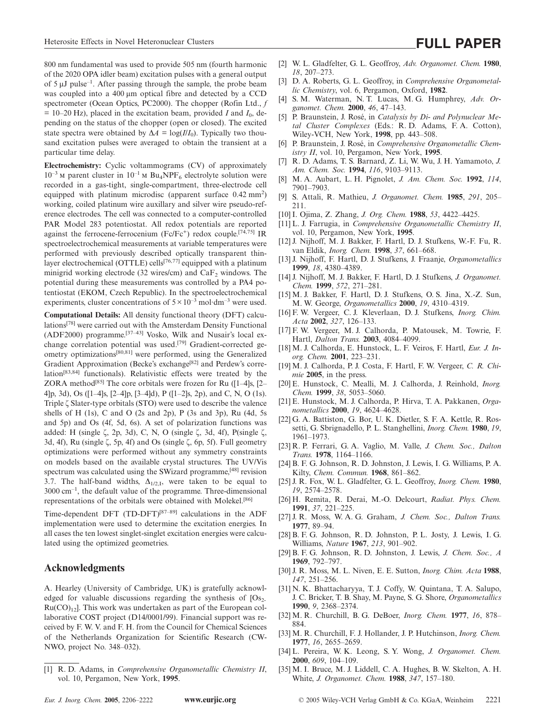800 nm fundamental was used to provide 505 nm (fourth harmonic of the 2020 OPA idler beam) excitation pulses with a general output of  $5 \mu J$  pulse<sup>-1</sup>. After passing through the sample, the probe beam was coupled into a 400 μm optical fibre and detected by a CCD spectrometer (Ocean Optics, PC2000). The chopper (Rofin Ltd., *f*  $= 10-20$  Hz), placed in the excitation beam, provided *I* and  $I_0$ , depending on the status of the chopper (open or closed). The excited state spectra were obtained by  $\Delta A = \log(I/I_0)$ . Typically two thousand excitation pulses were averaged to obtain the transient at a particular time delay.

**Electrochemistry:** Cyclic voltammograms (CV) of approximately  $10^{-3}$  M parent cluster in  $10^{-1}$  M Bu<sub>4</sub>NPF<sub>6</sub> electrolyte solution were recorded in a gas-tight, single-compartment, three-electrode cell equipped with platinum microdisc (apparent surface 0.42 mm<sup>2</sup>) working, coiled platinum wire auxillary and silver wire pseudo-reference electrodes. The cell was connected to a computer-controlled PAR Model 283 potentiostat. All redox potentials are reported against the ferrocene-ferrocenium (Fc/Fc<sup>+</sup>) redox couple.<sup>[74,75]</sup> IR spectroelectrochemical measurements at variable temperatures were performed with previously described optically transparent thinlayer electrochemical (OTTLE) cells<sup>[76,77]</sup> equipped with a platinum minigrid working electrode (32 wires/cm) and  $CaF<sub>2</sub>$  windows. The potential during these measurements was controlled by a PA4 potentiostat (EKOM, Czech Republic). In the spectroelectrochemical experiments, cluster concentrations of  $5 \times 10^{-3}$  mol·dm<sup>-3</sup> were used.

**Computational Details:** All density functional theory (DFT) calculations[78] were carried out with the Amsterdam Density Functional (ADF2000) programme.<sup>[37–43]</sup> Vosko, Wilk and Nusair's local exchange correlation potential was used.[79] Gradient-corrected geometry optimizations[80,81] were performed, using the Generalized Gradient Approximation (Becke's exchange<sup>[82]</sup> and Perdew's correlation[83,84] functionals). Relativistic effects were treated by the ZORA method<sup>[85]</sup> The core orbitals were frozen for Ru ( $[1-4]$ s,  $[2-$ 4]p, 3d), Os ([1–4]s, [2–4]p, [3–4]d), P ([1–2]s, 2p), and C, N, O (1s). Triple ζ Slater-type orbitals (STO) were used to describe the valence shells of H (1s), C and O (2s and 2p), P (3s and 3p), Ru (4d, 5s and 5p) and Os (4f, 5d, 6s). A set of polarization functions was added: H (single ζ, 2p, 3d), C, N, O (single ζ, 3d, 4f), P(single ζ, 3d, 4f), Ru (single ζ, 5p, 4f) and Os (single ζ, 6p, 5f). Full geometry optimizations were performed without any symmetry constraints on models based on the available crystal structures. The UV/Vis spectrum was calculated using the SWizard programme,<sup>[48]</sup> revision 3.7. The half-band widths,  $\Delta_{1/2,1}$ , were taken to be equal to 3000 cm–1, the default value of the programme. Three-dimensional representations of the orbitals were obtained with Molekel.[86]

Time-dependent DFT (TD-DFT)[87–89] calculations in the ADF implementation were used to determine the excitation energies. In all cases the ten lowest singlet-singlet excitation energies were calculated using the optimized geometries.

# **Acknowledgments**

A. Hearley (University of Cambridge, UK) is gratefully acknowledged for valuable discussions regarding the synthesis of  $[Os<sub>2</sub>]$  $Ru(CO)_{12}$ . This work was undertaken as part of the European collaborative COST project (D14/0001/99). Financial support was received by F. W. V. and F. H. from the Council for Chemical Sciences of the Netherlands Organization for Scientific Research (CW-NWO, project No. 348–032).

[1] R. D. Adams, in *Comprehensive Organometallic Chemistry II*, vol. 10, Pergamon, New York, **1995**.

- [2] W. L. Gladfelter, G. L. Geoffroy, *Adv. Organomet. Chem.* **1980**, *18*, 207–273.
- [3] D. A. Roberts, G. L. Geoffroy, in *Comprehensive Organometallic Chemistry*, vol. 6, Pergamon, Oxford, **1982**.
- [4] S. M. Waterman, N. T. Lucas, M. G. Humphrey, *Adv. Organomet. Chem.* **2000**, *46*, 47–143.
- [5] P. Braunstein, J. Rosé, in *Catalysis by Di- and Polynuclear Metal Cluster Complexes* (Eds.: R. D. Adams, F. A. Cotton), Wiley-VCH, New York, **1998**, pp. 443–508.
- [6] P. Braunstein, J. Rosé, in *Comprehensive Organometallic Chemistry II*, vol. 10, Pergamon, New York, **1995**.
- [7] R. D. Adams, T. S. Barnard, Z. Li, W. Wu, J. H. Yamamoto, *J. Am. Chem. Soc.* **1994**, *116*, 9103–9113.
- [8] M. A. Aubart, L. H. Pignolet, *J. Am. Chem. Soc.* **1992**, *114*, 7901–7903.
- [9] S. Attali, R. Mathieu, *J. Organomet. Chem.* **1985**, *291*, 205– 211.
- [10] I. Ojima, Z. Zhang, *J. Org. Chem.* **1988**, *53*, 4422–4425.
- [11] L. J. Farrugia, in *Comprehensive Organometallic Chemistry II*, vol. 10, Pergamon, New York, **1995**.
- [12] J. Nijhoff, M. J. Bakker, F. Hartl, D. J. Stufkens, W.-F. Fu, R. van Eldik, *Inorg. Chem.* **1998**, *37*, 661–668.
- [13] J. Nijhoff, F. Hartl, D. J. Stufkens, J. Fraanje, *Organometallics* **1999**, *18*, 4380–4389.
- [14] J. Nijhoff, M. J. Bakker, F. Hartl, D. J. Stufkens, *J. Organomet. Chem.* **1999**, *572*, 271–281.
- [15] M. J. Bakker, F. Hartl, D. J. Stufkens, O. S. Jina, X.-Z. Sun, M. W. George, *Organometallics* **2000**, *19*, 4310–4319.
- [16] F. W. Vergeer, C. J. Kleverlaan, D. J. Stufkens, *Inorg. Chim. Acta* **2002**, *327*, 126–133.
- [17] F. W. Vergeer, M. J. Calhorda, P. Matousek, M. Towrie, F. Hartl, *Dalton Trans.* **2003**, 4084–4099.
- [18] M. J. Calhorda, E. Hunstock, L. F. Veiros, F. Hartl, *Eur. J. Inorg. Chem.* **2001**, 223–231.
- [19] M. J. Calhorda, P. J. Costa, F. Hartl, F. W. Vergeer, *C. R. Chimie* **2005**, in the press.
- [20] E. Hunstock, C. Mealli, M. J. Calhorda, J. Reinhold, *Inorg. Chem.* **1999**, *38*, 5053–5060.
- [21] E. Hunstock, M. J. Calhorda, P. Hirva, T. A. Pakkanen, *Organometallics* **2000**, *19*, 4624–4628.
- [22] G. A. Battiston, G. Bor, U. K. Dietler, S. F. A. Kettle, R. Rossetti, G. Sbrignadello, P. L. Stanghellini, *Inorg. Chem.* **1980**, *19*, 1961–1973.
- [23] R. P. Ferrari, G. A. Vaglio, M. Valle, *J. Chem. Soc., Dalton Trans.* **1978**, 1164–1166.
- [24] B. F. G. Johnson, R. D. Johnston, J. Lewis, I. G. Williams, P. A. Kilty, *Chem. Commun.* **1968**, 861–862.
- [25] J. R. Fox, W. L. Gladfelter, G. L. Geoffroy, *Inorg. Chem.* **1980**, *19*, 2574–2578.
- [26] H. Remita, R. Derai, M.-O. Delcourt, *Radiat. Phys. Chem.* **1991**, *37*, 221–225.
- [27] J. R. Moss, W. A. G. Graham, *J. Chem. Soc., Dalton Trans.* **1977**, 89–94.
- [28] B. F. G. Johnson, R. D. Johnston, P. L. Josty, J. Lewis, I. G. Williams, *Nature* **1967**, *213*, 901–902.
- [29] B. F. G. Johnson, R. D. Johnston, J. Lewis, *J. Chem. Soc., A* **1969**, 792–797.
- [30] J. R. Moss, M. L. Niven, E. E. Sutton, *Inorg. Chim. Acta* **1988**, *147*, 251–256.
- [31] N. K. Bhattacharyya, T. J. Coffy, W. Quintana, T. A. Salupo, J. C. Bricker, T. B. Shay, M. Payne, S. G. Shore, *Organometallics* **1990**, *9*, 2368–2374.
- [32] M. R. Churchill, B. G. DeBoer, *Inorg. Chem.* **1977**, *16*, 878– 884.
- [33] M. R. Churchill, F. J. Hollander, J. P. Hutchinson, *Inorg. Chem.* **1977**, *16*, 2655–2659.
- [34] L. Pereira, W. K. Leong, S. Y. Wong, *J. Organomet. Chem.* **2000**, *609*, 104–109.
- [35] M. I. Bruce, M. J. Liddell, C. A. Hughes, B. W. Skelton, A. H. White, *J. Organomet. Chem.* **1988**, *347*, 157–180.